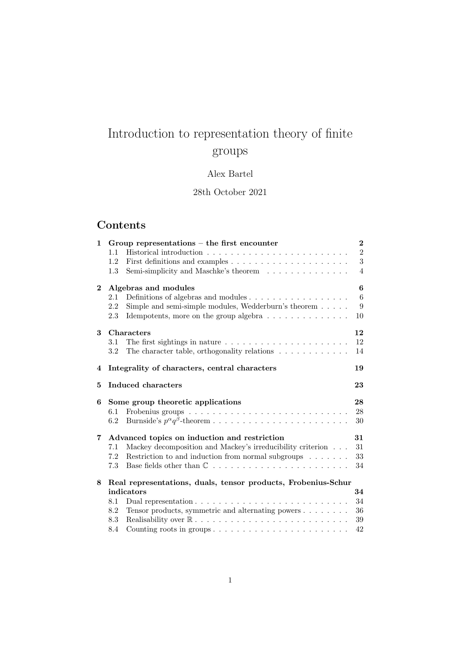# Introduction to representation theory of finite groups

## Alex Bartel

28th October 2021

## Contents

| 1                       | Group representations $-$ the first encounter | $\overline{2}$                                                                         |  |  |  |  |  |
|-------------------------|-----------------------------------------------|----------------------------------------------------------------------------------------|--|--|--|--|--|
|                         | 1.1                                           | $\sqrt{2}$                                                                             |  |  |  |  |  |
|                         | 1.2                                           | $\sqrt{3}$                                                                             |  |  |  |  |  |
|                         | 1.3                                           | $\overline{4}$<br>Semi-simplicity and Maschke's theorem                                |  |  |  |  |  |
| $\mathbf{2}$            | Algebras and modules                          | $\boldsymbol{6}$                                                                       |  |  |  |  |  |
|                         | 2.1                                           | $6\phantom{.}6$<br>Definitions of algebras and modules                                 |  |  |  |  |  |
|                         | 2.2                                           | 9<br>Simple and semi-simple modules, Wedderburn's theorem $\dots$ .                    |  |  |  |  |  |
|                         | 2.3                                           | Idempotents, more on the group algebra $\dots \dots \dots \dots \dots$<br>10           |  |  |  |  |  |
| 3                       | Characters                                    | 12                                                                                     |  |  |  |  |  |
|                         | 3.1                                           | 12<br>The first sightings in nature $\ldots \ldots \ldots \ldots \ldots \ldots \ldots$ |  |  |  |  |  |
|                         | 3.2                                           | The character table, orthogonality relations $\ldots \ldots \ldots \ldots$<br>14       |  |  |  |  |  |
| $\overline{\mathbf{4}}$ | Integrality of characters, central characters | 19                                                                                     |  |  |  |  |  |
| 5                       | Induced characters                            | 23                                                                                     |  |  |  |  |  |
| 6                       | Some group theoretic applications             | 28                                                                                     |  |  |  |  |  |
|                         | 6.1                                           | 28                                                                                     |  |  |  |  |  |
|                         | 6.2                                           | 30                                                                                     |  |  |  |  |  |
| 7                       | Advanced topics on induction and restriction  |                                                                                        |  |  |  |  |  |
|                         | 7.1                                           | Mackey decomposition and Mackey's irreducibility criterion<br>31                       |  |  |  |  |  |
|                         | 7.2                                           | Restriction to and induction from normal subgroups $\ldots \ldots$<br>33               |  |  |  |  |  |
|                         | 7.3                                           | 34                                                                                     |  |  |  |  |  |
| 8                       |                                               | Real representations, duals, tensor products, Frobenius-Schur                          |  |  |  |  |  |
|                         | indicators                                    | 34                                                                                     |  |  |  |  |  |
|                         | 8.1                                           | 34                                                                                     |  |  |  |  |  |
|                         | 8.2                                           | Tensor products, symmetric and alternating powers<br>36                                |  |  |  |  |  |
|                         | 8.3                                           | 39                                                                                     |  |  |  |  |  |
|                         | 8.4                                           | 42                                                                                     |  |  |  |  |  |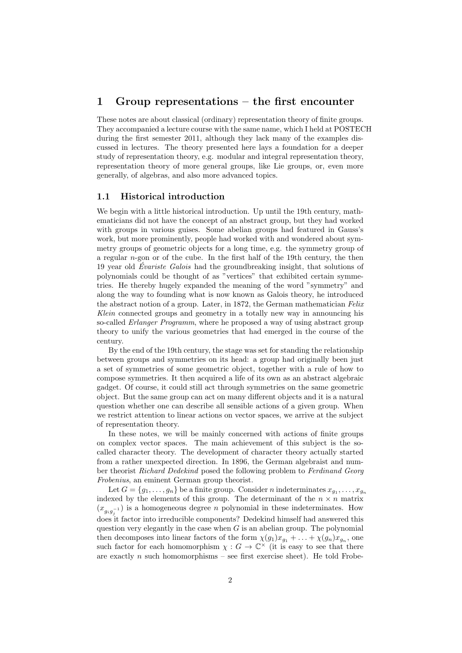## 1 Group representations – the first encounter

These notes are about classical (ordinary) representation theory of finite groups. They accompanied a lecture course with the same name, which I held at POSTECH during the first semester 2011, although they lack many of the examples discussed in lectures. The theory presented here lays a foundation for a deeper study of representation theory, e.g. modular and integral representation theory, representation theory of more general groups, like Lie groups, or, even more generally, of algebras, and also more advanced topics.

### 1.1 Historical introduction

We begin with a little historical introduction. Up until the 19th century, mathematicians did not have the concept of an abstract group, but they had worked with groups in various guises. Some abelian groups had featured in Gauss's work, but more prominently, people had worked with and wondered about symmetry groups of geometric objects for a long time, e.g. the symmetry group of a regular  $n$ -gon or of the cube. In the first half of the 19th century, the then 19 year old Evariste Galois had the groundbreaking insight, that solutions of polynomials could be thought of as "vertices" that exhibited certain symmetries. He thereby hugely expanded the meaning of the word "symmetry" and along the way to founding what is now known as Galois theory, he introduced the abstract notion of a group. Later, in 1872, the German mathematician Felix Klein connected groups and geometry in a totally new way in announcing his so-called *Erlanger Programm*, where he proposed a way of using abstract group theory to unify the various geometries that had emerged in the course of the century.

By the end of the 19th century, the stage was set for standing the relationship between groups and symmetries on its head: a group had originally been just a set of symmetries of some geometric object, together with a rule of how to compose symmetries. It then acquired a life of its own as an abstract algebraic gadget. Of course, it could still act through symmetries on the same geometric object. But the same group can act on many different objects and it is a natural question whether one can describe all sensible actions of a given group. When we restrict attention to linear actions on vector spaces, we arrive at the subject of representation theory.

In these notes, we will be mainly concerned with actions of finite groups on complex vector spaces. The main achievement of this subject is the socalled character theory. The development of character theory actually started from a rather unexpected direction. In 1896, the German algebraist and number theorist Richard Dedekind posed the following problem to Ferdinand Georg Frobenius, an eminent German group theorist.

Let  $G = \{g_1, \ldots, g_n\}$  be a finite group. Consider n indeterminates  $x_{g_1}, \ldots, x_{g_n}$ indexed by the elements of this group. The determinant of the  $n \times n$  matrix  $(x_{g_i g_j^{-1}})$  is a homogeneous degree *n* polynomial in these indeterminates. How does it factor into irreducible components? Dedekind himself had answered this question very elegantly in the case when  $G$  is an abelian group. The polynomial then decomposes into linear factors of the form  $\chi(g_1)x_{g_1} + \ldots + \chi(g_n)x_{g_n}$ , one such factor for each homomorphism  $\chi : G \to \mathbb{C}^\times$  (it is easy to see that there are exactly n such homomorphisms – see first exercise sheet). He told Frobe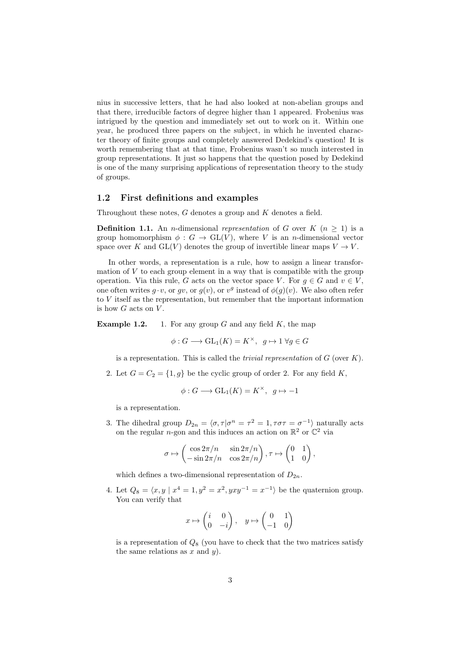nius in successive letters, that he had also looked at non-abelian groups and that there, irreducible factors of degree higher than 1 appeared. Frobenius was intrigued by the question and immediately set out to work on it. Within one year, he produced three papers on the subject, in which he invented character theory of finite groups and completely answered Dedekind's question! It is worth remembering that at that time, Frobenius wasn't so much interested in group representations. It just so happens that the question posed by Dedekind is one of the many surprising applications of representation theory to the study of groups.

### 1.2 First definitions and examples

Throughout these notes, G denotes a group and K denotes a field.

**Definition 1.1.** An *n*-dimensional *representation* of G over  $K(n > 1)$  is a group homomorphism  $\phi : G \to GL(V)$ , where V is an *n*-dimensional vector space over K and  $GL(V)$  denotes the group of invertible linear maps  $V \to V$ .

In other words, a representation is a rule, how to assign a linear transformation of  $V$  to each group element in a way that is compatible with the group operation. Via this rule, G acts on the vector space V. For  $q \in G$  and  $v \in V$ . one often writes  $g \cdot v$ , or  $gv$ , or  $g(v)$ , or  $v^g$  instead of  $\phi(g)(v)$ . We also often refer to V itself as the representation, but remember that the important information is how  $G$  acts on  $V$ .

**Example 1.2.** 1. For any group G and any field K, the map

$$
\phi: G \longrightarrow \mathrm{GL}_1(K) = K^\times, \ g \mapsto 1 \ \forall g \in G
$$

is a representation. This is called the *trivial representation* of  $G$  (over  $K$ ).

2. Let  $G = C_2 = \{1, g\}$  be the cyclic group of order 2. For any field K,

$$
\phi: G \longrightarrow \mathrm{GL}_1(K) = K^\times, \ \ g \mapsto -1
$$

is a representation.

3. The dihedral group  $D_{2n} = \langle \sigma, \tau | \sigma^n = \tau^2 = 1, \tau \sigma \tau = \sigma^{-1} \rangle$  naturally acts on the regular *n*-gon and this induces an action on  $\mathbb{R}^2$  or  $\mathbb{C}^2$  via

$$
\sigma \mapsto \begin{pmatrix} \cos 2\pi/n & \sin 2\pi/n \\ -\sin 2\pi/n & \cos 2\pi/n \end{pmatrix}, \tau \mapsto \begin{pmatrix} 0 & 1 \\ 1 & 0 \end{pmatrix},
$$

which defines a two-dimensional representation of  $D_{2n}$ .

4. Let  $Q_8 = \langle x, y | x^4 = 1, y^2 = x^2, yxy^{-1} = x^{-1} \rangle$  be the quaternion group. You can verify that

$$
x \mapsto \begin{pmatrix} i & 0 \\ 0 & -i \end{pmatrix}, \quad y \mapsto \begin{pmatrix} 0 & 1 \\ -1 & 0 \end{pmatrix}
$$

is a representation of  $Q_8$  (you have to check that the two matrices satisfy the same relations as  $x$  and  $y$ ).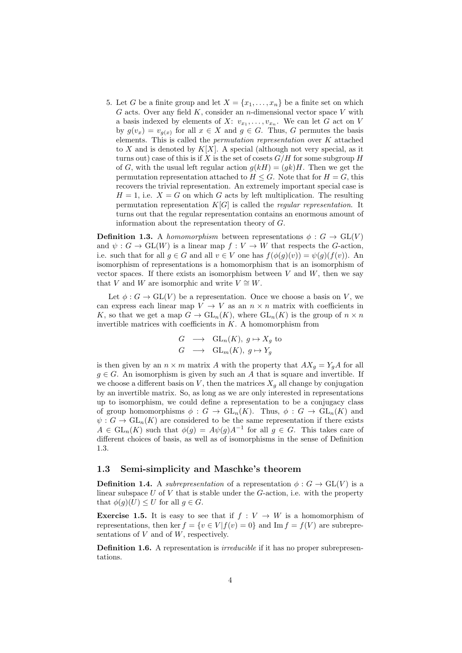5. Let G be a finite group and let  $X = \{x_1, \ldots, x_n\}$  be a finite set on which G acts. Over any field  $K$ , consider an *n*-dimensional vector space  $V$  with a basis indexed by elements of  $X: v_{x_1}, \ldots, v_{x_n}$ . We can let G act on V by  $g(v_x) = v_{g(x)}$  for all  $x \in X$  and  $g \in G$ . Thus, G permutes the basis elements. This is called the permutation representation over K attached to X and is denoted by  $K[X]$ . A special (although not very special, as it turns out) case of this is if X is the set of cosets  $G/H$  for some subgroup H of G, with the usual left regular action  $g(kH) = (gk)H$ . Then we get the permutation representation attached to  $H \leq G$ . Note that for  $H = G$ , this recovers the trivial representation. An extremely important special case is  $H = 1$ , i.e.  $X = G$  on which G acts by left multiplication. The resulting permutation representation  $K[G]$  is called the *regular representation*. It turns out that the regular representation contains an enormous amount of information about the representation theory of G.

**Definition 1.3.** A homomorphism between representations  $\phi: G \to \text{GL}(V)$ and  $\psi: G \to GL(W)$  is a linear map  $f: V \to W$  that respects the G-action, i.e. such that for all  $g \in G$  and all  $v \in V$  one has  $f(\phi(g)(v)) = \psi(g)(f(v))$ . An isomorphism of representations is a homomorphism that is an isomorphism of vector spaces. If there exists an isomorphism between  $V$  and  $W$ , then we say that V and W are isomorphic and write  $V \cong W$ .

Let  $\phi: G \to \text{GL}(V)$  be a representation. Once we choose a basis on V, we can express each linear map  $V \to V$  as an  $n \times n$  matrix with coefficients in K, so that we get a map  $G \to GL_n(K)$ , where  $GL_n(K)$  is the group of  $n \times n$ invertible matrices with coefficients in  $K$ . A homomorphism from

$$
G \longrightarrow \text{GL}_n(K), g \mapsto X_g \text{ to}
$$
  

$$
G \longrightarrow \text{GL}_m(K), g \mapsto Y_g
$$

is then given by an  $n \times m$  matrix A with the property that  $AX_q = Y_qA$  for all  $g \in G$ . An isomorphism is given by such an A that is square and invertible. If we choose a different basis on  $V$ , then the matrices  $X_g$  all change by conjugation by an invertible matrix. So, as long as we are only interested in representations up to isomorphism, we could define a representation to be a conjugacy class of group homomorphisms  $\phi : G \to \text{GL}_n(K)$ . Thus,  $\phi : G \to \text{GL}_n(K)$  and  $\psi: G \to \text{GL}_n(K)$  are considered to be the same representation if there exists  $A \in GL_n(K)$  such that  $\phi(g) = A\psi(g)A^{-1}$  for all  $g \in G$ . This takes care of different choices of basis, as well as of isomorphisms in the sense of Definition 1.3.

#### 1.3 Semi-simplicity and Maschke's theorem

**Definition 1.4.** A subrepresentation of a representation  $\phi : G \to GL(V)$  is a linear subspace  $U$  of  $V$  that is stable under the  $G$ -action, i.e. with the property that  $\phi(q)(U) \leq U$  for all  $q \in G$ .

**Exercise 1.5.** It is easy to see that if  $f: V \to W$  is a homomorphism of representations, then ker  $f = \{v \in V | f(v) = 0\}$  and Im  $f = f(V)$  are subrepresentations of  $V$  and of  $W$ , respectively.

**Definition 1.6.** A representation is *irreducible* if it has no proper subrepresentations.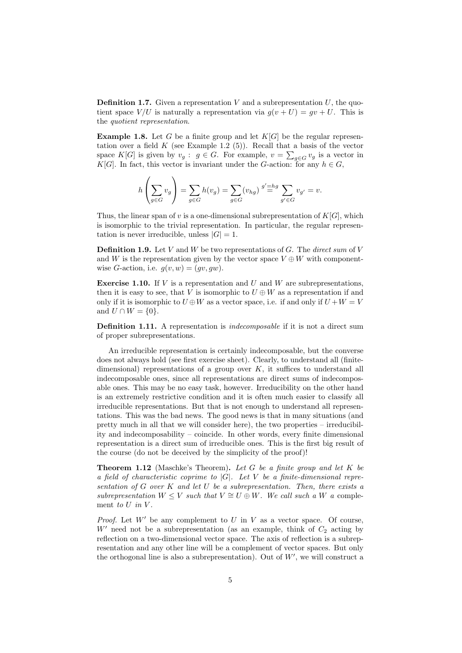**Definition 1.7.** Given a representation V and a subrepresentation U, the quotient space  $V/U$  is naturally a representation via  $g(v+U) = gv+U$ . This is the quotient representation.

**Example 1.8.** Let G be a finite group and let  $K[G]$  be the regular representation over a field  $K$  (see Example 1.2 (5)). Recall that a basis of the vector space K[G] is given by  $v_g: g \in G$ . For example,  $v = \sum_{g \in G} v_g$  is a vector in K[G]. In fact, this vector is invariant under the G-action: for any  $h \in G$ ,

$$
h\left(\sum_{g\in G}v_g\right) = \sum_{g\in G}h(v_g) = \sum_{g\in G}(v_{hg})\stackrel{g'=hg}{=} \sum_{g'\in G}v_{g'} = v.
$$

Thus, the linear span of v is a one-dimensional subrepresentation of  $K[G]$ , which is isomorphic to the trivial representation. In particular, the regular representation is never irreducible, unless  $|G| = 1$ .

**Definition 1.9.** Let  $V$  and  $W$  be two representations of  $G$ . The *direct sum* of  $V$ and W is the representation given by the vector space  $V \oplus W$  with componentwise G-action, i.e.  $g(v, w) = (gv, gw)$ .

**Exercise 1.10.** If  $V$  is a representation and  $U$  and  $W$  are subrepresentations, then it is easy to see, that V is isomorphic to  $U \oplus W$  as a representation if and only if it is isomorphic to  $U \oplus W$  as a vector space, i.e. if and only if  $U + W = V$ and  $U \cap W = \{0\}.$ 

**Definition 1.11.** A representation is *indecomposable* if it is not a direct sum of proper subrepresentations.

An irreducible representation is certainly indecomposable, but the converse does not always hold (see first exercise sheet). Clearly, to understand all (finitedimensional) representations of a group over  $K$ , it suffices to understand all indecomposable ones, since all representations are direct sums of indecomposable ones. This may be no easy task, however. Irreducibility on the other hand is an extremely restrictive condition and it is often much easier to classify all irreducible representations. But that is not enough to understand all representations. This was the bad news. The good news is that in many situations (and pretty much in all that we will consider here), the two properties – irreducibility and indecomposability – coincide. In other words, every finite dimensional representation is a direct sum of irreducible ones. This is the first big result of the course (do not be deceived by the simplicity of the proof)!

**Theorem 1.12** (Maschke's Theorem). Let G be a finite group and let K be a field of characteristic coprime to  $|G|$ . Let V be a finite-dimensional representation of  $G$  over  $K$  and let  $U$  be a subrepresentation. Then, there exists a subrepresentation  $W \leq V$  such that  $V \cong U \oplus W$ . We call such a W a complement to  $U$  in  $V$ .

*Proof.* Let  $W'$  be any complement to  $U$  in  $V$  as a vector space. Of course,  $W'$  need not be a subrepresentation (as an example, think of  $C_2$  acting by reflection on a two-dimensional vector space. The axis of reflection is a subrepresentation and any other line will be a complement of vector spaces. But only the orthogonal line is also a subrepresentation). Out of  $W'$ , we will construct a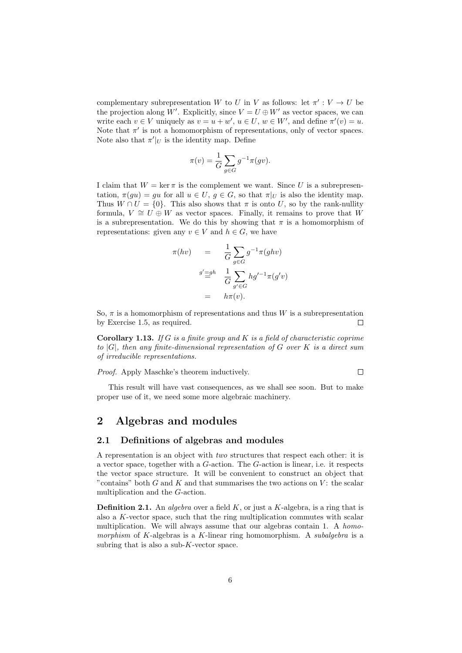complementary subrepresentation W to U in V as follows: let  $\pi': V \to U$  be the projection along W'. Explicitly, since  $V = U \oplus W'$  as vector spaces, we can write each  $v \in V$  uniquely as  $v = u + w'$ ,  $u \in U$ ,  $w \in W'$ , and define  $\pi'(v) = u$ . Note that  $\pi'$  is not a homomorphism of representations, only of vector spaces. Note also that  $\pi'|_U$  is the identity map. Define

$$
\pi(v) = \frac{1}{G} \sum_{g \in G} g^{-1} \pi(gv).
$$

I claim that  $W = \ker \pi$  is the complement we want. Since U is a subrepresentation,  $\pi(gu) = gu$  for all  $u \in U$ ,  $g \in G$ , so that  $\pi|_U$  is also the identity map. Thus  $W \cap U = \{0\}$ . This also shows that  $\pi$  is onto U, so by the rank-nullity formula,  $V \cong U \oplus W$  as vector spaces. Finally, it remains to prove that W is a subrepresentation. We do this by showing that  $\pi$  is a homomorphism of representations: given any  $v \in V$  and  $h \in G$ , we have

$$
\pi(hv) = \frac{1}{G} \sum_{g \in G} g^{-1} \pi(ghv)
$$

$$
g' \equiv gh \frac{1}{G} \sum_{g' \in G} hg'^{-1} \pi(g'v)
$$

$$
= h\pi(v).
$$

So,  $\pi$  is a homomorphism of representations and thus W is a subrepresentation by Exercise 1.5, as required. П

**Corollary 1.13.** If G is a finite group and K is a field of characteristic coprime to  $|G|$ , then any finite-dimensional representation of G over K is a direct sum of irreducible representations.

Proof. Apply Maschke's theorem inductively.

This result will have vast consequences, as we shall see soon. But to make proper use of it, we need some more algebraic machinery.

 $\Box$ 

## 2 Algebras and modules

### 2.1 Definitions of algebras and modules

A representation is an object with two structures that respect each other: it is a vector space, together with a G-action. The G-action is linear, i.e. it respects the vector space structure. It will be convenient to construct an object that "contains" both  $G$  and  $K$  and that summarises the two actions on  $V$ : the scalar multiplication and the G-action.

**Definition 2.1.** An *algebra* over a field  $K$ , or just a  $K$ -algebra, is a ring that is also a K-vector space, such that the ring multiplication commutes with scalar multiplication. We will always assume that our algebras contain 1. A *homo*morphism of K-algebras is a K-linear ring homomorphism. A subalgebra is a subring that is also a sub- $K$ -vector space.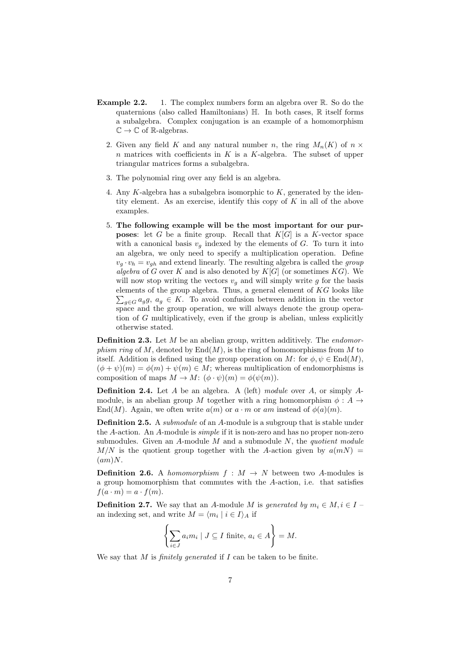- **Example 2.2.** 1. The complex numbers form an algebra over  $\mathbb{R}$ . So do the quaternions (also called Hamiltonians) H. In both cases, R itself forms a subalgebra. Complex conjugation is an example of a homomorphism  $\mathbb{C} \to \mathbb{C}$  of R-algebras.
	- 2. Given any field K and any natural number n, the ring  $M_n(K)$  of  $n \times$ n matrices with coefficients in  $K$  is a K-algebra. The subset of upper triangular matrices forms a subalgebra.
	- 3. The polynomial ring over any field is an algebra.
	- 4. Any K-algebra has a subalgebra isomorphic to  $K$ , generated by the identity element. As an exercise, identify this copy of K in all of the above examples.
	- 5. The following example will be the most important for our pur**poses:** let G be a finite group. Recall that  $K[G]$  is a K-vector space with a canonical basis  $v_g$  indexed by the elements of  $G$ . To turn it into an algebra, we only need to specify a multiplication operation. Define  $v_q \cdot v_h = v_{gh}$  and extend linearly. The resulting algebra is called the group algebra of G over K and is also denoted by  $K[G]$  (or sometimes  $KG$ ). We will now stop writing the vectors  $v<sub>q</sub>$  and will simply write g for the basis elements of the group algebra. Thus, a general element of  $KG$  looks like  $\sum_{g \in G} a_g g$ ,  $a_g \in K$ . To avoid confusion between addition in the vector space and the group operation, we will always denote the group operation of  $G$  multiplicatively, even if the group is abelian, unless explicitly otherwise stated.

**Definition 2.3.** Let  $M$  be an abelian group, written additively. The endomorphism ring of M, denoted by  $\text{End}(M)$ , is the ring of homomorphisms from M to itself. Addition is defined using the group operation on M: for  $\phi, \psi \in \text{End}(M)$ ,  $(\phi + \psi)(m) = \phi(m) + \psi(m) \in M$ ; whereas multiplication of endomorphisms is composition of maps  $M \to M: (\phi \cdot \psi)(m) = \phi(\psi(m)).$ 

**Definition 2.4.** Let  $A$  be an algebra. A (left) module over  $A$ , or simply  $A$ module, is an abelian group M together with a ring homomorphism  $\phi : A \rightarrow$ End(M). Again, we often write  $a(m)$  or  $a \cdot m$  or am instead of  $\phi(a)(m)$ .

**Definition 2.5.** A *submodule* of an A-module is a subgroup that is stable under the A-action. An A-module is simple if it is non-zero and has no proper non-zero submodules. Given an  $A$ -module  $M$  and a submodule  $N$ , the quotient module  $M/N$  is the quotient group together with the A-action given by  $a(mN)$  =  $(am)N$ .

**Definition 2.6.** A homomorphism  $f : M \to N$  between two A-modules is a group homomorphism that commutes with the A-action, i.e. that satisfies  $f(a \cdot m) = a \cdot f(m)$ .

**Definition 2.7.** We say that an A-module M is generated by  $m_i \in M$ ,  $i \in I$ an indexing set, and write  $M = \langle m_i | i \in I \rangle_A$  if

$$
\left\{\sum_{i\in J} a_i m_i \mid J\subseteq I \text{ finite, } a_i\in A\right\}=M.
$$

We say that M is *finitely generated* if  $I$  can be taken to be finite.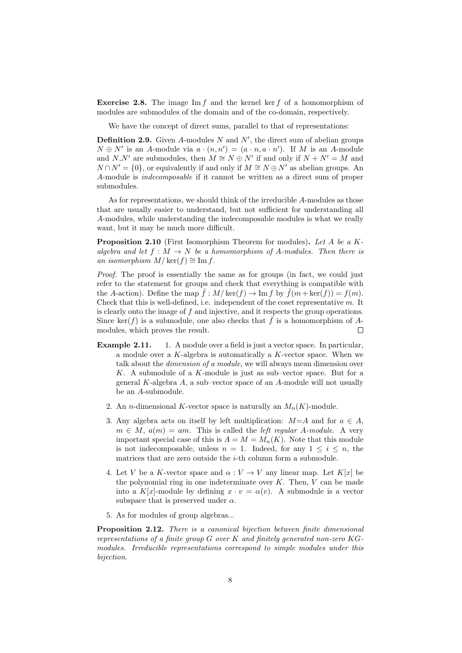**Exercise 2.8.** The image  $\text{Im } f$  and the kernel ker f of a homomorphism of modules are submodules of the domain and of the co-domain, respectively.

We have the concept of direct sums, parallel to that of representations:

**Definition 2.9.** Given A-modules  $N$  and  $N'$ , the direct sum of abelian groups  $N \oplus N'$  is an A-module via  $a \cdot (n, n') = (a \cdot n, a \cdot n')$ . If M is an A-module and  $N, N'$  are submodules, then  $M \cong N \oplus N'$  if and only if  $N + N' = M$  and  $N \cap N' = \{0\}$ , or equivalently if and only if  $M \cong N \oplus N'$  as abelian groups. An A-module is indecomposable if it cannot be written as a direct sum of proper submodules.

As for representations, we should think of the irreducible A-modules as those that are usually easier to understand, but not sufficient for understanding all A-modules, while understanding the indecomposable modules is what we really want, but it may be much more difficult.

**Proposition 2.10** (First Isomorphism Theorem for modules). Let  $A$  be a  $K$ algebra and let  $f : M \to N$  be a homomorphism of A-modules. Then there is an isomorphism  $M/\text{ker}(f) \cong \text{Im } f$ .

Proof. The proof is essentially the same as for groups (in fact, we could just refer to the statement for groups and check that everything is compatible with the A-action). Define the map  $\bar{f}: M/\text{ker}(f) \to \text{Im } f$  by  $\bar{f}(m + \text{ker}(f)) = f(m)$ . Check that this is well-defined, i.e. independent of the coset representative  $m$ . It is clearly onto the image of  $f$  and injective, and it respects the group operations. Since ker(f) is a submodule, one also checks that  $\bar{f}$  is a homomorphism of Amodules, which proves the result.  $\Box$ 

- Example 2.11. 1. A module over a field is just a vector space. In particular, a module over a K-algebra is automatically a K-vector space. When we talk about the dimension of a module, we will always mean dimension over  $K$ . A submodule of a  $K$ -module is just as sub–vector space. But for a general K-algebra  $A$ , a sub–vector space of an  $A$ -module will not usually be an A-submodule.
	- 2. An *n*-dimensional K-vector space is naturally an  $M_n(K)$ -module.
	- 3. Any algebra acts on itself by left multiplication:  $M=A$  and for  $a \in A$ ,  $m \in M$ ,  $a(m) = am$ . This is called the *left regular A-module*. A very important special case of this is  $A = M = M_n(K)$ . Note that this module is not indecomposable, unless  $n = 1$ . Indeed, for any  $1 \leq i \leq n$ , the matrices that are zero outside the i-th column form a submodule.
	- 4. Let V be a K-vector space and  $\alpha: V \to V$  any linear map. Let  $K[x]$  be the polynomial ring in one indeterminate over  $K$ . Then,  $V$  can be made into a K[x]-module by defining  $x \cdot v = \alpha(v)$ . A submodule is a vector subspace that is preserved under  $\alpha$ .
	- 5. As for modules of group algebras...

Proposition 2.12. There is a canonical bijection between finite dimensional representations of a finite group  $G$  over  $K$  and finitely generated non-zero  $KG$ modules. Irreducible representations correspond to simple modules under this bijection.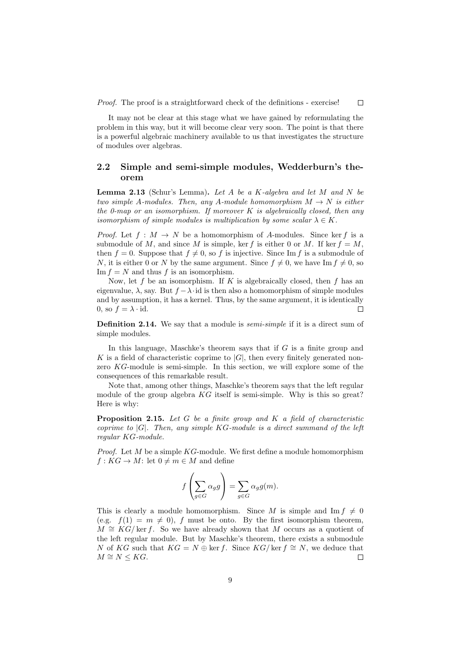It may not be clear at this stage what we have gained by reformulating the problem in this way, but it will become clear very soon. The point is that there is a powerful algebraic machinery available to us that investigates the structure of modules over algebras.

 $\Box$ 

## 2.2 Simple and semi-simple modules, Wedderburn's theorem

**Lemma 2.13** (Schur's Lemma). Let  $A$  be a  $K$ -algebra and let  $M$  and  $N$  be two simple A-modules. Then, any A-module homomorphism  $M \to N$  is either the 0-map or an isomorphism. If moreover  $K$  is algebraically closed, then any isomorphism of simple modules is multiplication by some scalar  $\lambda \in K$ .

*Proof.* Let  $f : M \to N$  be a homomorphism of A-modules. Since ker f is a submodule of M, and since M is simple, ker f is either 0 or M. If ker  $f = M$ , then  $f = 0$ . Suppose that  $f \neq 0$ , so f is injective. Since Im f is a submodule of N, it is either 0 or N by the same argument. Since  $f \neq 0$ , we have Im  $f \neq 0$ , so Im  $f = N$  and thus f is an isomorphism.

Now, let f be an isomorphism. If K is algebraically closed, then f has an eigenvalue,  $\lambda$ , say. But  $f - \lambda \cdot id$  is then also a homomorphism of simple modules and by assumption, it has a kernel. Thus, by the same argument, it is identically 0, so  $f = \lambda \cdot id$ .  $\Box$ 

**Definition 2.14.** We say that a module is *semi-simple* if it is a direct sum of simple modules.

In this language, Maschke's theorem says that if  $G$  is a finite group and K is a field of characteristic coprime to  $|G|$ , then every finitely generated nonzero KG-module is semi-simple. In this section, we will explore some of the consequences of this remarkable result.

Note that, among other things, Maschke's theorem says that the left regular module of the group algebra  $KG$  itself is semi-simple. Why is this so great? Here is why:

**Proposition 2.15.** Let  $G$  be a finite group and  $K$  a field of characteristic coprime to  $|G|$ . Then, any simple KG-module is a direct summand of the left regular KG-module.

*Proof.* Let M be a simple  $KG$ -module. We first define a module homomorphism  $f: KG \to M:$  let  $0 \neq m \in M$  and define

$$
f\left(\sum_{g\in G} \alpha_g g\right) = \sum_{g\in G} \alpha_g g(m).
$$

This is clearly a module homomorphism. Since M is simple and Im  $f \neq 0$ (e.g.  $f(1) = m \neq 0$ ), f must be onto. By the first isomorphism theorem,  $M \cong KG/\ker f$ . So we have already shown that M occurs as a quotient of the left regular module. But by Maschke's theorem, there exists a submodule N of KG such that  $KG = N \oplus \text{ker } f$ . Since  $KG/\text{ker } f \cong N$ , we deduce that  $M \cong N \leq KG.$  $\Box$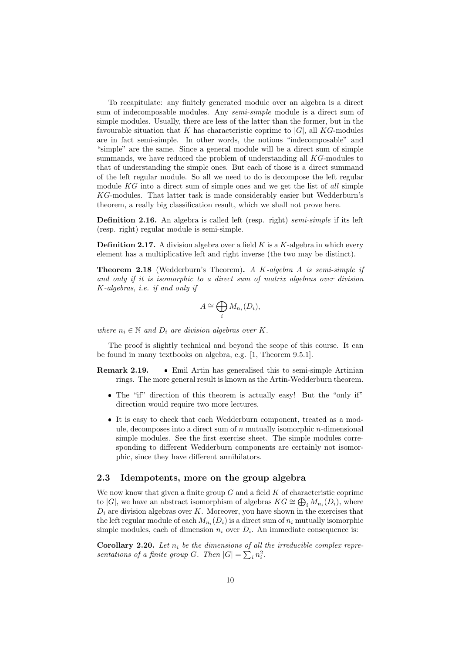To recapitulate: any finitely generated module over an algebra is a direct sum of indecomposable modules. Any *semi-simple* module is a direct sum of simple modules. Usually, there are less of the latter than the former, but in the favourable situation that K has characteristic coprime to  $|G|$ , all KG-modules are in fact semi-simple. In other words, the notions "indecomposable" and "simple" are the same. Since a general module will be a direct sum of simple summands, we have reduced the problem of understanding all KG-modules to that of understanding the simple ones. But each of those is a direct summand of the left regular module. So all we need to do is decompose the left regular module  $KG$  into a direct sum of simple ones and we get the list of all simple KG-modules. That latter task is made considerably easier but Wedderburn's theorem, a really big classification result, which we shall not prove here.

Definition 2.16. An algebra is called left (resp. right) semi-simple if its left (resp. right) regular module is semi-simple.

**Definition 2.17.** A division algebra over a field  $K$  is a  $K$ -algebra in which every element has a multiplicative left and right inverse (the two may be distinct).

**Theorem 2.18** (Wedderburn's Theorem). A K-algebra A is semi-simple if and only if it is isomorphic to a direct sum of matrix algebras over division K-algebras, i.e. if and only if

$$
A \cong \bigoplus_i M_{n_i}(D_i),
$$

where  $n_i \in \mathbb{N}$  and  $D_i$  are division algebras over K.

The proof is slightly technical and beyond the scope of this course. It can be found in many textbooks on algebra, e.g. [1, Theorem 9.5.1].

- Remark 2.19. Emil Artin has generalised this to semi-simple Artinian rings. The more general result is known as the Artin-Wedderburn theorem.
	- The "if" direction of this theorem is actually easy! But the "only if" direction would require two more lectures.
	- It is easy to check that each Wedderburn component, treated as a module, decomposes into a direct sum of  $n$  mutually isomorphic  $n$ -dimensional simple modules. See the first exercise sheet. The simple modules corresponding to different Wedderburn components are certainly not isomorphic, since they have different annihilators.

## 2.3 Idempotents, more on the group algebra

We now know that given a finite group  $G$  and a field  $K$  of characteristic coprime to |G|, we have an abstract isomorphism of algebras  $KG \cong \bigoplus_i M_{n_i}(D_i)$ , where  $D_i$  are division algebras over K. Moreover, you have shown in the exercises that the left regular module of each  $M_{n_i}(D_i)$  is a direct sum of  $n_i$  mutually isomorphic simple modules, each of dimension  $n_i$  over  $D_i$ . An immediate consequence is:

Corollary 2.20. Let  $n_i$  be the dimensions of all the irreducible complex representations of a finite group G. Then  $|G| = \sum_i n_i^2$ .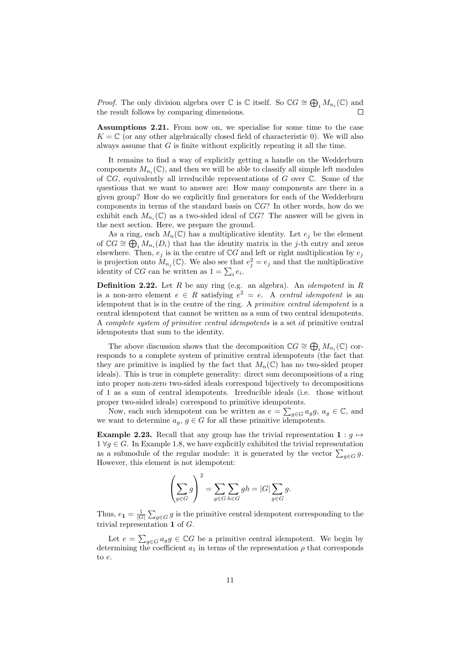*Proof.* The only division algebra over  $\mathbb C$  is  $\mathbb C$  itself. So  $\mathbb CG\cong\bigoplus_i M_{n_i}(\mathbb C)$  and the result follows by comparing dimensions. П

Assumptions 2.21. From now on, we specialise for some time to the case  $K = \mathbb{C}$  (or any other algebraically closed field of characteristic 0). We will also always assume that  $G$  is finite without explicitly repeating it all the time.

It remains to find a way of explicitly getting a handle on the Wedderburn components  $M_{n_i}(\mathbb{C})$ , and then we will be able to classify all simple left modules of  $\mathbb{C}G$ , equivalently all irreducible representations of G over  $\mathbb{C}$ . Some of the questions that we want to answer are: How many components are there in a given group? How do we explicitly find generators for each of the Wedderburn components in terms of the standard basis on CG? In other words, how do we exhibit each  $M_{n_i}(\mathbb{C})$  as a two-sided ideal of  $\mathbb{C}G$ ? The answer will be given in the next section. Here, we prepare the ground.

As a ring, each  $M_n(\mathbb{C})$  has a multiplicative identity. Let  $e_i$  be the element of  $\mathbb{C}G \cong \bigoplus_{i} M_{n_i}(D_i)$  that has the identity matrix in the j-th entry and zeros elsewhere. Then,  $e_j$  is in the centre of  $\mathbb{C}G$  and left or right multiplication by  $e_j$ is projection onto  $M_{n_j}(\mathbb{C})$ . We also see that  $e_j^2 = e_j$  and that the multiplicative identity of  $\mathbb{C}G$  can be written as  $1 = \sum_i e_i$ .

**Definition 2.22.** Let  $R$  be any ring (e.g. an algebra). An *idempotent* in  $R$ is a non-zero element  $e \in R$  satisfying  $e^2 = e$ . A central idempotent is an idempotent that is in the centre of the ring. A primitive central idempotent is a central idempotent that cannot be written as a sum of two central idempotents. A complete system of primitive central idempotents is a set of primitive central idempotents that sum to the identity.

The above discussion shows that the decomposition  $\mathbb{C}G \cong \bigoplus_i M_{n_i}(\mathbb{C})$  corresponds to a complete system of primitive central idempotents (the fact that they are primitive is implied by the fact that  $M_n(\mathbb{C})$  has no two-sided proper ideals). This is true in complete generality: direct sum decompositions of a ring into proper non-zero two-sided ideals correspond bijectively to decompositions of 1 as a sum of central idempotents. Irreducible ideals (i.e. those without proper two-sided ideals) correspond to primitive idempotents.

Now, each such idempotent can be written as  $e = \sum_{g \in G} a_g g$ ,  $a_g \in \mathbb{C}$ , and we want to determine  $a_g, g \in G$  for all these primitive idempotents.

**Example 2.23.** Recall that any group has the trivial representation  $1 : g \mapsto$  $1 \forall g \in G$ . In Example 1.8, we have explicitly exhibited the trivial representation as a submodule of the regular module: it is generated by the vector  $\sum_{g \in G} g$ . However, this element is not idempotent:

$$
\left(\sum_{g\in G} g\right)^2 = \sum_{g\in G} \sum_{h\in G} gh = |G| \sum_{g\in G} g.
$$

Thus,  $e_1 = \frac{1}{|G|} \sum_{g \in G} g$  is the primitive central idempotent corresponding to the trivial representation 1 of G.

Let  $e = \sum_{g \in G} a_g g \in \mathbb{C}G$  be a primitive central idempotent. We begin by determining the coefficient  $a_1$  in terms of the representation  $\rho$  that corresponds to e.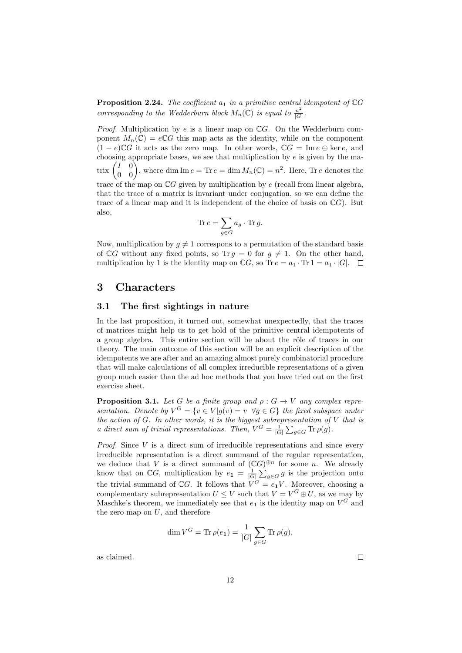**Proposition 2.24.** The coefficient  $a_1$  in a primitive central idempotent of  $\mathbb{C}G$ corresponding to the Wedderburn block  $M_n(\mathbb{C})$  is equal to  $\frac{n^2}{|G|}$  $\frac{n^2}{|G|}$ .

*Proof.* Multiplication by  $e$  is a linear map on  $\mathbb{C}G$ . On the Wedderburn component  $M_n(\mathbb{C}) = e \mathbb{C} G$  this map acts as the identity, while on the component  $(1-e)\mathbb{C}G$  it acts as the zero map. In other words,  $\mathbb{C}G = \text{Im }e \oplus \ker e$ , and choosing appropriate bases, we see that multiplication by  $e$  is given by the matrix  $\begin{pmatrix} I & 0 \\ 0 & 0 \end{pmatrix}$ , where dim Im  $e = \text{Tr } e = \dim M_n(\mathbb{C}) = n^2$ . Here, Tr e denotes the trace of the map on  $\mathbb{C}G$  given by multiplication by e (recall from linear algebra, that the trace of a matrix is invariant under conjugation, so we can define the trace of a linear map and it is independent of the choice of basis on  $\mathbb{C}G$ . But also,

$$
\text{Tr}\,e = \sum_{g \in G} a_g \cdot \text{Tr}\,g.
$$

Now, multiplication by  $q \neq 1$  correspons to a permutation of the standard basis of CG without any fixed points, so Tr  $q = 0$  for  $q \neq 1$ . On the other hand, multiplication by 1 is the identity map on  $\mathbb{C}G$ , so  $\text{Tr } e = a_1 \cdot \text{Tr } 1 = a_1 \cdot |G|$ .  $\Box$ 

## 3 Characters

### 3.1 The first sightings in nature

In the last proposition, it turned out, somewhat unexpectedly, that the traces of matrices might help us to get hold of the primitive central idempotents of a group algebra. This entire section will be about the rôle of traces in our theory. The main outcome of this section will be an explicit description of the idempotents we are after and an amazing almost purely combinatorial procedure that will make calculations of all complex irreducible representations of a given group much easier than the ad hoc methods that you have tried out on the first exercise sheet.

**Proposition 3.1.** Let G be a finite group and  $\rho : G \to V$  any complex representation. Denote by  $V^G = \{v \in V | g(v) = v \ \forall g \in G\}$  the fixed subspace under the action of  $G$ . In other words, it is the biggest subrepresentation of  $V$  that is a direct sum of trivial representations. Then,  $V^G = \frac{1}{|G|} \sum_{g \in G} \text{Tr} \rho(g)$ .

*Proof.* Since  $V$  is a direct sum of irreducible representations and since every irreducible representation is a direct summand of the regular representation, we deduce that V is a direct summand of  $(\mathbb{C}G)^{\oplus n}$  for some n. We already know that on  $\mathbb{C}G$ , multiplication by  $e_1 = \frac{1}{|G|} \sum_{g \in G} g$  is the projection onto the trivial summand of CG. It follows that  $V^G = e_1 V$ . Moreover, choosing a complementary subrepresentation  $U \leq V$  such that  $V = V^G \oplus U$ , as we may by Maschke's theorem, we immediately see that  $e_1$  is the identity map on  $V^G$  and the zero map on  $U$ , and therefore

$$
\dim V^G = \text{Tr}\,\rho(e_1) = \frac{1}{|G|} \sum_{g \in G} \text{Tr}\,\rho(g),
$$

as claimed.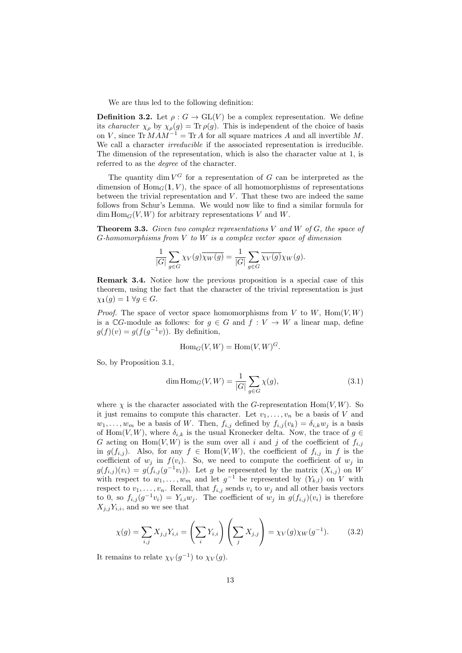We are thus led to the following definition:

**Definition 3.2.** Let  $\rho: G \to GL(V)$  be a complex representation. We define its *character*  $\chi_{\rho}$  by  $\chi_{\rho}(g) = \text{Tr}\,\rho(g)$ . This is independent of the choice of basis on V, since  $Tr \widetilde{MAM^{-1}} = Tr \widetilde{A}$  for all square matrices  $\widetilde{A}$  and all invertible  $\widetilde{M}$ . We call a character *irreducible* if the associated representation is irreducible. The dimension of the representation, which is also the character value at 1, is referred to as the *degree* of the character.

The quantity dim  $V^G$  for a representation of G can be interpreted as the dimension of  $\text{Hom}_G(1, V)$ , the space of all homomorphisms of representations between the trivial representation and  $V$ . That these two are indeed the same follows from Schur's Lemma. We would now like to find a similar formula for  $\dim \text{Hom}_G(V, W)$  for arbitrary representations V and W.

**Theorem 3.3.** Given two complex representations V and W of G, the space of  $G$ -homomorphisms from  $V$  to  $W$  is a complex vector space of dimension

$$
\frac{1}{|G|} \sum_{g \in G} \chi_V(g) \overline{\chi_W(g)} = \frac{1}{|G|} \sum_{g \in G} \overline{\chi_V(g)} \chi_W(g).
$$

Remark 3.4. Notice how the previous proposition is a special case of this theorem, using the fact that the character of the trivial representation is just  $\chi_1(g) = 1 \; \forall g \in G.$ 

*Proof.* The space of vector space homomorphisms from V to W,  $Hom(V, W)$ is a  $\mathbb{C}G$ -module as follows: for  $g \in G$  and  $f : V \to W$  a linear map, define  $g(f)(v) = g(f(g^{-1}v))$ . By definition,

$$
\operatorname{Hom}_G(V, W) = \operatorname{Hom}(V, W)^G.
$$

So, by Proposition 3.1,

$$
\dim \text{Hom}_G(V, W) = \frac{1}{|G|} \sum_{g \in G} \chi(g),\tag{3.1}
$$

where  $\chi$  is the character associated with the G-representation  $\text{Hom}(V, W)$ . So it just remains to compute this character. Let  $v_1, \ldots, v_n$  be a basis of V and  $w_1, \ldots, w_m$  be a basis of W. Then,  $f_{i,j}$  defined by  $f_{i,j}(v_k) = \delta_{i,k} w_j$  is a basis of Hom(V, W), where  $\delta_{i,k}$  is the usual Kronecker delta. Now, the trace of  $g \in$ G acting on Hom $(V, W)$  is the sum over all i and j of the coefficient of  $f_{i,j}$ in  $g(f_{i,j})$ . Also, for any  $f \in \text{Hom}(V, W)$ , the coefficient of  $f_{i,j}$  in f is the coefficient of  $w_j$  in  $f(v_i)$ . So, we need to compute the coefficient of  $w_j$  in  $g(f_{i,j})(v_i) = g(f_{i,j}(g^{-1}v_i))$ . Let g be represented by the matrix  $(X_{i,j})$  on W with respect to  $w_1, \ldots, w_m$  and let  $g^{-1}$  be represented by  $(Y_{k,l})$  on V with respect to  $v_1, \ldots, v_n$ . Recall, that  $f_{i,j}$  sends  $v_i$  to  $w_j$  and all other basis vectors to 0, so  $f_{i,j}(g^{-1}v_i) = Y_{i,i}w_j$ . The coefficient of  $w_j$  in  $g(f_{i,j})(v_i)$  is therefore  $X_{i,j}Y_{i,i}$ , and so we see that

$$
\chi(g) = \sum_{i,j} X_{j,j} Y_{i,i} = \left(\sum_i Y_{i,i}\right) \left(\sum_j X_{j,j}\right) = \chi_V(g) \chi_W(g^{-1}). \tag{3.2}
$$

It remains to relate  $\chi_V(g^{-1})$  to  $\chi_V(g)$ .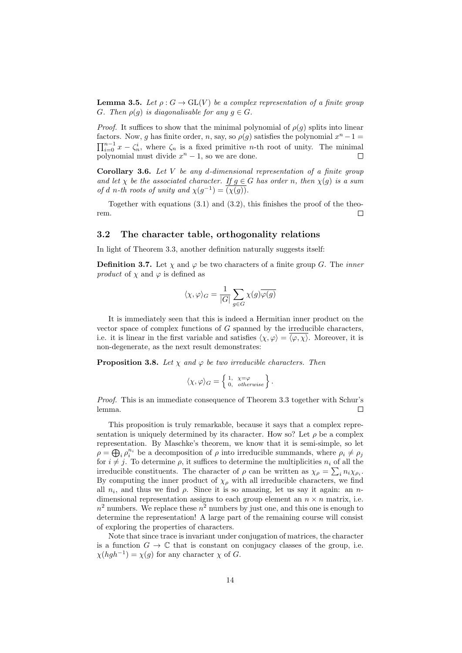**Lemma 3.5.** Let  $\rho: G \to GL(V)$  be a complex representation of a finite group G. Then  $\rho(g)$  is diagonalisable for any  $g \in G$ .

*Proof.* It suffices to show that the minimal polynomial of  $\rho(g)$  splits into linear factors. Now, g has finite order, n, say, so  $\rho(g)$  satisfies the polynomial  $x^n - 1 =$  $\prod_{i=0}^{n-1} x - \zeta_n^i$ , where  $\zeta_n$  is a fixed primitive *n*-th root of unity. The minimal polynomial must divide  $x^n - 1$ , so we are done.  $\Box$ 

**Corollary 3.6.** Let  $V$  be any d-dimensional representation of a finite group and let  $\chi$  be the associated character. If  $g \in G$  has order n, then  $\chi(g)$  is a sum of d n-th roots of unity and  $\chi(g^{-1}) = \overline{(\chi(g))}$ .

Together with equations (3.1) and (3.2), this finishes the proof of the theorem.  $\Box$ 

### 3.2 The character table, orthogonality relations

In light of Theorem 3.3, another definition naturally suggests itself:

**Definition 3.7.** Let  $\chi$  and  $\varphi$  be two characters of a finite group G. The *inner* product of  $\chi$  and  $\varphi$  is defined as

$$
\langle \chi, \varphi \rangle_G = \frac{1}{|G|} \sum_{g \in G} \chi(g) \overline{\varphi(g)}
$$

It is immediately seen that this is indeed a Hermitian inner product on the vector space of complex functions of  $G$  spanned by the irreducible characters, i.e. it is linear in the first variable and satisfies  $\langle \chi, \varphi \rangle = \overline{\langle \varphi, \chi \rangle}$ . Moreover, it is non-degenerate, as the next result demonstrates:

**Proposition 3.8.** Let  $\chi$  and  $\varphi$  be two irreducible characters. Then

$$
\langle \chi, \varphi \rangle_G = \left\{ \begin{matrix} 1, & \chi = \varphi \\ 0, & \text{otherwise} \end{matrix} \right\}.
$$

Proof. This is an immediate consequence of Theorem 3.3 together with Schur's lemma.  $\Box$ 

This proposition is truly remarkable, because it says that a complex representation is uniquely determined by its character. How so? Let  $\rho$  be a complex representation. By Maschke's theorem, we know that it is semi-simple, so let  $\rho = \bigoplus_i \rho_i^{n_i}$  be a decomposition of  $\rho$  into irreducible summands, where  $\rho_i \neq \rho_j$ for  $i \neq j$ . To determine  $\rho$ , it suffices to determine the multiplicities  $n_i$  of all the irreducible constituents. The character of  $\rho$  can be written as  $\chi_{\rho} = \sum_i n_i \chi_{\rho_i}$ . By computing the inner product of  $\chi_{\rho}$  with all irreducible characters, we find all  $n_i$ , and thus we find  $\rho$ . Since it is so amazing, let us say it again: an ndimensional representation assigns to each group element an  $n \times n$  matrix, i.e.  $n^2$  numbers. We replace these  $n^2$  numbers by just one, and this one is enough to determine the representation! A large part of the remaining course will consist of exploring the properties of characters.

Note that since trace is invariant under conjugation of matrices, the character is a function  $G \to \mathbb{C}$  that is constant on conjugacy classes of the group, i.e.  $\chi(hgh^{-1}) = \chi(g)$  for any character  $\chi$  of G.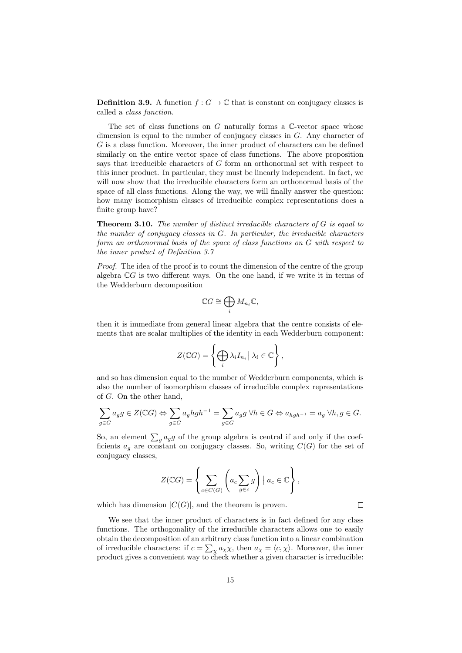**Definition 3.9.** A function  $f: G \to \mathbb{C}$  that is constant on conjugacy classes is called a class function.

The set of class functions on  $G$  naturally forms a  $\mathbb{C}$ -vector space whose dimension is equal to the number of conjugacy classes in  $G$ . Any character of  $G$  is a class function. Moreover, the inner product of characters can be defined similarly on the entire vector space of class functions. The above proposition says that irreducible characters of G form an orthonormal set with respect to this inner product. In particular, they must be linearly independent. In fact, we will now show that the irreducible characters form an orthonormal basis of the space of all class functions. Along the way, we will finally answer the question: how many isomorphism classes of irreducible complex representations does a finite group have?

**Theorem 3.10.** The number of distinct irreducible characters of  $G$  is equal to the number of conjugacy classes in  $G$ . In particular, the irreducible characters form an orthonormal basis of the space of class functions on G with respect to the inner product of Definition 3.7

Proof. The idea of the proof is to count the dimension of the centre of the group algebra  $\mathbb{C}G$  is two different ways. On the one hand, if we write it in terms of the Wedderburn decomposition

$$
\mathbb{C} G \cong \bigoplus_i M_{n_i} \mathbb{C},
$$

then it is immediate from general linear algebra that the centre consists of elements that are scalar multiplies of the identity in each Wedderburn component:

$$
Z(\mathbb{C}G) = \left\{ \bigoplus_i \lambda_i I_{n_i} \middle| \lambda_i \in \mathbb{C} \right\},\
$$

and so has dimension equal to the number of Wedderburn components, which is also the number of isomorphism classes of irreducible complex representations of G. On the other hand,

$$
\sum_{g \in G} a_g g \in Z(\mathbb{C}G) \Leftrightarrow \sum_{g \in G} a_g hgh^{-1} = \sum_{g \in G} a_g g \ \forall h \in G \Leftrightarrow a_{hgh^{-1}} = a_g \ \forall h, g \in G.
$$

So, an element  $\sum_{g} a_g g$  of the group algebra is central if and only if the coefficients  $a_q$  are constant on conjugacy classes. So, writing  $C(G)$  for the set of conjugacy classes,

$$
Z(\mathbb{C}G) = \left\{ \sum_{c \in C(G)} \left( a_c \sum_{g \in c} g \right) \mid a_c \in \mathbb{C} \right\},\
$$

 $\Box$ 

which has dimension  $|C(G)|$ , and the theorem is proven.

We see that the inner product of characters is in fact defined for any class functions. The orthogonality of the irreducible characters allows one to easily obtain the decomposition of an arbitrary class function into a linear combination of irreducible characters: if  $c = \sum_{\chi} a_{\chi} \chi$ , then  $a_{\chi} = \langle c, \chi \rangle$ . Moreover, the inner product gives a convenient way to check whether a given character is irreducible: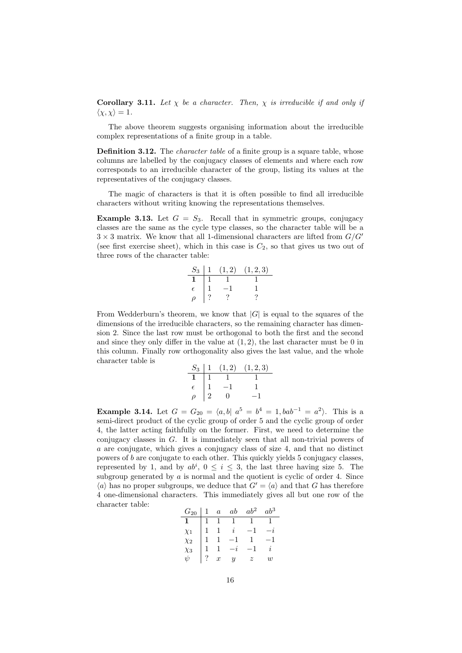**Corollary 3.11.** Let  $\chi$  be a character. Then,  $\chi$  is irreducible if and only if  $\langle \chi, \chi \rangle = 1.$ 

The above theorem suggests organising information about the irreducible complex representations of a finite group in a table.

**Definition 3.12.** The *character table* of a finite group is a square table, whose columns are labelled by the conjugacy classes of elements and where each row corresponds to an irreducible character of the group, listing its values at the representatives of the conjugacy classes.

The magic of characters is that it is often possible to find all irreducible characters without writing knowing the representations themselves.

**Example 3.13.** Let  $G = S_3$ . Recall that in symmetric groups, conjugacy classes are the same as the cycle type classes, so the character table will be a  $3 \times 3$  matrix. We know that all 1-dimensional characters are lifted from  $G/G'$ (see first exercise sheet), which in this case is  $C_2$ , so that gives us two out of three rows of the character table:

| $S_3$      | (1,2) | (1, 2, 3) |
|------------|-------|-----------|
|            |       |           |
| $\epsilon$ |       |           |
|            |       |           |

From Wedderburn's theorem, we know that  $|G|$  is equal to the squares of the dimensions of the irreducible characters, so the remaining character has dimension 2. Since the last row must be orthogonal to both the first and the second and since they only differ in the value at  $(1, 2)$ , the last character must be 0 in this column. Finally row orthogonality also gives the last value, and the whole character table is

| $S_3$ | (1,2) | (1, 2, 3) |
|-------|-------|-----------|
|       |       |           |
|       |       |           |
|       | 0     |           |

**Example 3.14.** Let  $G = G_{20} = \langle a, b | a^5 = b^4 = 1, bab^{-1} = a^2 \rangle$ . This is a semi-direct product of the cyclic group of order 5 and the cyclic group of order 4, the latter acting faithfully on the former. First, we need to determine the conjugacy classes in G. It is immediately seen that all non-trivial powers of a are conjugate, which gives a conjugacy class of size 4, and that no distinct powers of b are conjugate to each other. This quickly yields 5 conjugacy classes, represented by 1, and by  $ab^i$ ,  $0 \le i \le 3$ , the last three having size 5. The subgroup generated by  $a$  is normal and the quotient is cyclic of order 4. Since  $\langle a \rangle$  has no proper subgroups, we deduce that  $G' = \langle a \rangle$  and that G has therefore 4 one-dimensional characters. This immediately gives all but one row of the character table:

| $G_{20}$     |     | $1 \quad a \quad ab$ | $ab^2$              | $\n  ub3\n$ |
|--------------|-----|----------------------|---------------------|-------------|
| $\mathbf{1}$ |     |                      | $1 \t1 \t1 \t1 \t1$ |             |
| $\chi_1$     |     | $1 \quad i$          |                     |             |
| $\chi_2$     |     |                      | $1 \quad$           |             |
| $\chi_3$     |     | $-i$                 |                     | $\dot{i}$   |
|              | ? x | $\overline{u}$       | $\overline{z}$      | w           |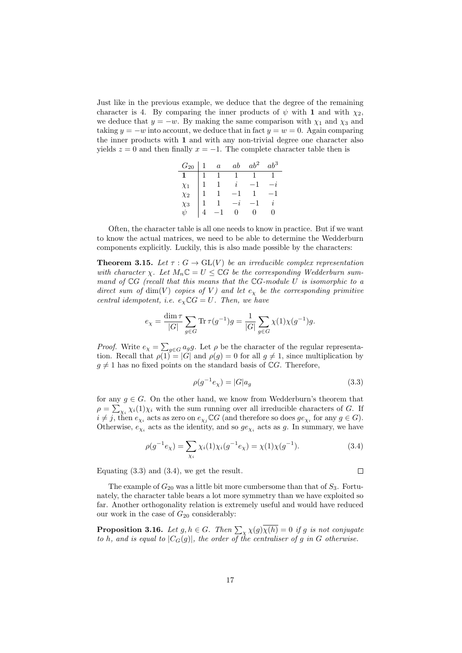Just like in the previous example, we deduce that the degree of the remaining character is 4. By comparing the inner products of  $\psi$  with 1 and with  $\chi_2$ , we deduce that  $y = -w$ . By making the same comparison with  $\chi_1$  and  $\chi_3$  and taking  $y = -w$  into account, we deduce that in fact  $y = w = 0$ . Again comparing the inner products with 1 and with any non-trivial degree one character also yields  $z = 0$  and then finally  $x = -1$ . The complete character table then is

| $G_{20}$ | $\overline{a}$ | ab           | $ab^2$ | $ab^3$ |
|----------|----------------|--------------|--------|--------|
|          |                | $\mathbf{1}$ |        |        |
| $\chi_1$ |                | i            |        | $-i$   |
| $\chi_2$ |                |              |        |        |
| $\chi_3$ |                | $-2$         |        |        |
|          |                | $\Omega$     | 0      | 0      |

Often, the character table is all one needs to know in practice. But if we want to know the actual matrices, we need to be able to determine the Wedderburn components explicitly. Luckily, this is also made possible by the characters:

**Theorem 3.15.** Let  $\tau : G \to GL(V)$  be an irreducible complex representation with character  $\chi$ . Let  $M_n \mathbb{C} = U \leq \mathbb{C}G$  be the corresponding Wedderburn summand of  $\mathbb{C}G$  (recall that this means that the  $\mathbb{C}G$ -module U is isomorphic to a direct sum of  $\dim(V)$  copies of V) and let  $e_x$  be the corresponding primitive central idempotent, i.e.  $e_{\chi} \mathbb{C} G = U$ . Then, we have

$$
e_{\chi} = \frac{\dim \tau}{|G|} \sum_{g \in G} \text{Tr} \,\tau(g^{-1})g = \frac{1}{|G|} \sum_{g \in G} \chi(1)\chi(g^{-1})g.
$$

*Proof.* Write  $e_{\chi} = \sum_{g \in G} a_g g$ . Let  $\rho$  be the character of the regular representation. Recall that  $\rho(1) = |G|$  and  $\rho(g) = 0$  for all  $g \neq 1$ , since multiplication by  $q \neq 1$  has no fixed points on the standard basis of CG. Therefore,

$$
\rho(g^{-1}e_{\chi}) = |G|a_g \tag{3.3}
$$

for any  $g \in G$ . On the other hand, we know from Wedderburn's theorem that  $\rho = \sum_{\chi_i} \chi_i(1)\chi_i$  with the sum running over all irreducible characters of G. If  $i \neq j$ , then  $e_{\chi_i}$  acts as zero on  $e_{\chi_j} \mathbb{C}G$  (and therefore so does  $ge_{\chi_i}$  for any  $g \in G$ ). Otherwise,  $e_{\chi_i}$  acts as the identity, and so  $ge_{\chi_i}$  acts as g. In summary, we have

$$
\rho(g^{-1}e_{\chi}) = \sum_{\chi_i} \chi_i(1)\chi_i(g^{-1}e_{\chi}) = \chi(1)\chi(g^{-1}).
$$
\n(3.4)

Equating (3.3) and (3.4), we get the result.

 $\Box$ 

The example of  $G_{20}$  was a little bit more cumbersome than that of  $S_3$ . Fortunately, the character table bears a lot more symmetry than we have exploited so far. Another orthogonality relation is extremely useful and would have reduced our work in the case of  $G_{20}$  considerably:

**Proposition 3.16.** Let  $g, h \in G$ . Then  $\sum_{\chi} \chi(g) \chi(h) = 0$  if g is not conjugate to h, and is equal to  $|C_G(g)|$ , the order of the centraliser of g in G otherwise.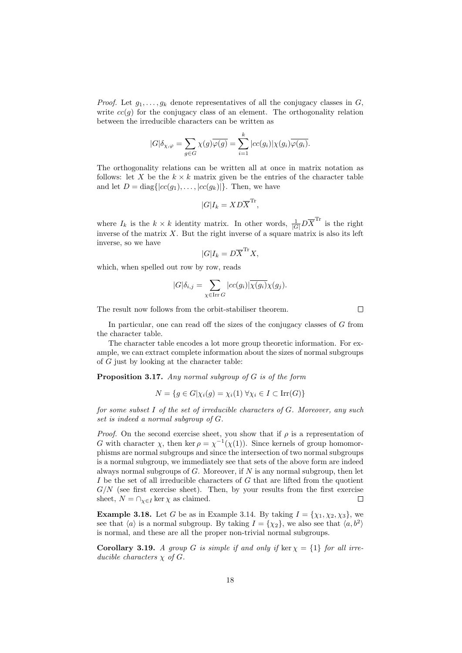*Proof.* Let  $g_1, \ldots, g_k$  denote representatives of all the conjugacy classes in G, write  $cc(q)$  for the conjugacy class of an element. The orthogonality relation between the irreducible characters can be written as

$$
|G|\delta_{\chi,\varphi} = \sum_{g \in G} \chi(g)\overline{\varphi(g)} = \sum_{i=1}^k |cc(g_i)| \chi(g_i)\overline{\varphi(g_i)}.
$$

The orthogonality relations can be written all at once in matrix notation as follows: let X be the  $k \times k$  matrix given be the entries of the character table and let  $D = \text{diag}\{|cc(q_1), \ldots, |cc(q_k)|\}$ . Then, we have

$$
|G|I_k = XD\overline{X}^{\text{Tr}},
$$

where  $I_k$  is the  $k \times k$  identity matrix. In other words,  $\frac{1}{|G|}D\overline{X}^{\text{Tr}}$  is the right inverse of the matrix  $X$ . But the right inverse of a square matrix is also its left inverse, so we have

$$
|G|I_k = D\overline{X}^{\text{Tr}} X,
$$

which, when spelled out row by row, reads

$$
|G|\delta_{i,j} = \sum_{\chi \in \text{Irr } G} |cc(g_i)| \overline{\chi(g_i)} \chi(g_j).
$$

The result now follows from the orbit-stabiliser theorem.

In particular, one can read off the sizes of the conjugacy classes of G from the character table.

The character table encodes a lot more group theoretic information. For example, we can extract complete information about the sizes of normal subgroups of G just by looking at the character table:

**Proposition 3.17.** Any normal subgroup of  $G$  is of the form

$$
N = \{ g \in G | \chi_i(g) = \chi_i(1) \; \forall \chi_i \in I \subset \text{Irr}(G) \}
$$

for some subset I of the set of irreducible characters of G. Moreover, any such set is indeed a normal subgroup of G.

*Proof.* On the second exercise sheet, you show that if  $\rho$  is a representation of G with character  $\chi$ , then ker  $\rho = \chi^{-1}(\chi(1))$ . Since kernels of group homomorphisms are normal subgroups and since the intersection of two normal subgroups is a normal subgroup, we immediately see that sets of the above form are indeed always normal subgroups of  $G$ . Moreover, if  $N$  is any normal subgroup, then let I be the set of all irreducible characters of G that are lifted from the quotient  $G/N$  (see first exercise sheet). Then, by your results from the first exercise sheet,  $N = \bigcap_{\chi \in I} \ker \chi$  as claimed.  $\Box$ 

**Example 3.18.** Let G be as in Example 3.14. By taking  $I = \{\chi_1, \chi_2, \chi_3\}$ , we see that  $\langle a \rangle$  is a normal subgroup. By taking  $I = {\chi_2}$ , we also see that  $\langle a, b^2 \rangle$ is normal, and these are all the proper non-trivial normal subgroups.

Corollary 3.19. A group G is simple if and only if ker  $\chi = \{1\}$  for all irreducible characters  $\chi$  of  $G$ .

 $\Box$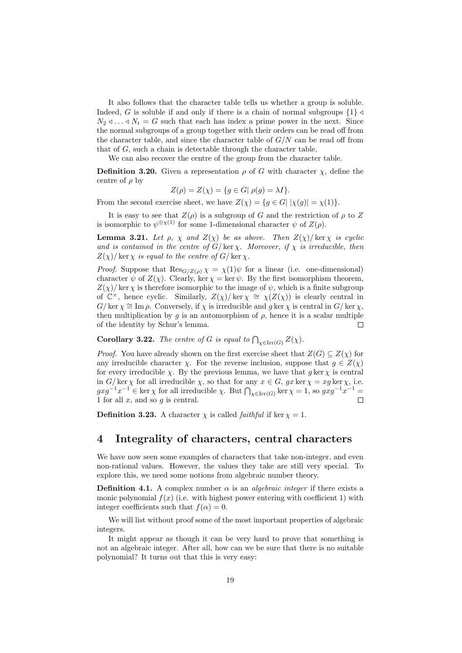It also follows that the character table tells us whether a group is soluble. Indeed, G is soluble if and only if there is a chain of normal subgroups  $\{1\} \triangleleft$  $N_2 \triangleleft ... \triangleleft N_t = G$  such that each has index a prime power in the next. Since the normal subgroups of a group together with their orders can be read off from the character table, and since the character table of  $G/N$  can be read off from that of G, such a chain is detectable through the character table.

We can also recover the centre of the group from the character table.

**Definition 3.20.** Given a representation  $\rho$  of G with character  $\chi$ , define the centre of  $\rho$  by

$$
Z(\rho) = Z(\chi) = \{ g \in G | \rho(g) = \lambda I \}.
$$

From the second exercise sheet, we have  $Z(\chi) = \{g \in G | |\chi(g)| = \chi(1)\}.$ 

It is easy to see that  $Z(\rho)$  is a subgroup of G and the restriction of  $\rho$  to Z is isomorphic to  $\psi^{\oplus \chi(1)}$  for some 1-dimensional character  $\psi$  of  $Z(\rho)$ .

**Lemma 3.21.** Let  $\rho$ ,  $\chi$  and  $Z(\chi)$  be as above. Then  $Z(\chi)$  ker  $\chi$  is cyclic and is contained in the centre of  $G/\ker \chi$ . Moreover, if  $\chi$  is irreducible, then  $Z(\chi)$  ker  $\chi$  is equal to the centre of  $G/\ker \chi$ .

*Proof.* Suppose that  $\text{Res}_{G/Z(\rho)} \chi = \chi(1)\psi$  for a linear (i.e. one-dimensional) character  $\psi$  of  $Z(\chi)$ . Clearly, ker  $\chi = \ker \psi$ . By the first isomorphism theorem,  $Z(\chi)/\ker \chi$  is therefore isomorphic to the image of  $\psi$ , which is a finite subgroup of  $\mathbb{C}^{\times}$ , hence cyclic. Similarly,  $Z(\chi)/\ker \chi \cong \chi(Z(\chi))$  is clearly central in  $G/\ker \chi \cong \text{Im }\rho$ . Conversely, if  $\chi$  is irreducible and g ker  $\chi$  is central in  $G/\ker \chi$ , then multiplication by  $g$  is an automorphism of  $\rho$ , hence it is a scalar multiple of the identity by Schur's lemma. П

**Corollary 3.22.** The centre of G is equal to  $\bigcap_{\chi \in \text{Irr}(G)} Z(\chi)$ .

*Proof.* You have already shown on the first exercise sheet that  $Z(G) \subseteq Z(\chi)$  for any irreducible character  $\chi$ . For the reverse inclusion, suppose that  $q \in Z(\chi)$ for every irreducible  $\chi$ . By the previous lemma, we have that g ker  $\chi$  is central in  $G/\ker \chi$  for all irreducible  $\chi$ , so that for any  $x \in G$ ,  $gx \ker \chi = xg \ker \chi$ , i.e.  $gxg^{-1}x^{-1} \in \ker \chi$  for all irreducible  $\chi$ . But  $\bigcap_{\chi \in \text{Irr}(G)} \ker \chi = 1$ , so  $gxg^{-1}x^{-1} =$ 1 for all  $x$ , and so  $q$  is central.

**Definition 3.23.** A character  $\chi$  is called *faithful* if ker  $\chi = 1$ .

## 4 Integrality of characters, central characters

We have now seen some examples of characters that take non-integer, and even non-rational values. However, the values they take are still very special. To explore this, we need some notions from algebraic number theory.

**Definition 4.1.** A complex number  $\alpha$  is an *algebraic integer* if there exists a monic polynomial  $f(x)$  (i.e. with highest power entering with coefficient 1) with integer coefficients such that  $f(\alpha) = 0$ .

We will list without proof some of the most important properties of algebraic integers.

It might appear as though it can be very hard to prove that something is not an algebraic integer. After all, how can we be sure that there is no suitable polynomial? It turns out that this is very easy: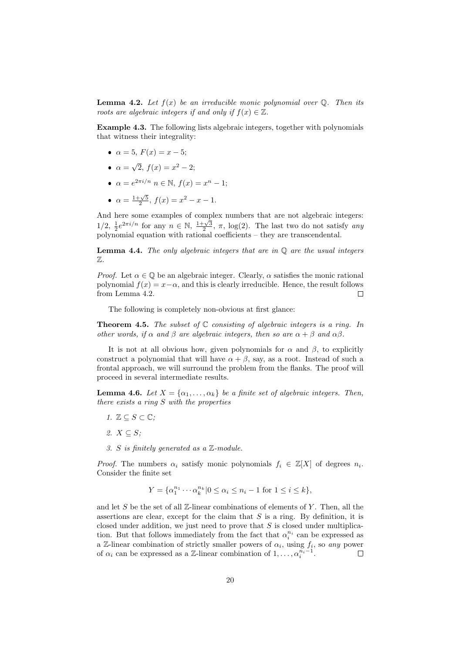**Lemma 4.2.** Let  $f(x)$  be an irreducible monic polynomial over  $\mathbb{Q}$ . Then its roots are algebraic integers if and only if  $f(x) \in \mathbb{Z}$ .

Example 4.3. The following lists algebraic integers, together with polynomials that witness their integrality:

- $\alpha = 5, F(x) = x 5;$
- $\bullet \ \alpha =$ √  $\overline{2}$ ,  $f(x) = x^2 - 2$ ;
- $\alpha = e^{2\pi i/n} \; n \in \mathbb{N}, \; f(x) = x^n 1;$
- $\alpha = \frac{1+\sqrt{5}}{2}, f(x) = x^2 x 1.$

And here some examples of complex numbers that are not algebraic integers: 1/2,  $\frac{1}{2}e^{2\pi i/n}$  for any  $n \in \mathbb{N}$ ,  $\frac{1+\sqrt{3}}{2}$ ,  $\pi$ , log(2). The last two do not satisfy *any* polynomial equation with rational coefficients – they are transcendental.

**Lemma 4.4.** The only algebraic integers that are in  $\mathbb Q$  are the usual integers  $\mathbb{Z}$ .

*Proof.* Let  $\alpha \in \mathbb{Q}$  be an algebraic integer. Clearly,  $\alpha$  satisfies the monic rational polynomial  $f(x) = x-\alpha$ , and this is clearly irreducible. Hence, the result follows from Lemma 4.2.  $\Box$ 

The following is completely non-obvious at first glance:

**Theorem 4.5.** The subset of  $\mathbb C$  consisting of algebraic integers is a ring. In other words, if  $\alpha$  and  $\beta$  are algebraic integers, then so are  $\alpha + \beta$  and  $\alpha\beta$ .

It is not at all obvious how, given polynomials for  $\alpha$  and  $\beta$ , to explicitly construct a polynomial that will have  $\alpha + \beta$ , say, as a root. Instead of such a frontal approach, we will surround the problem from the flanks. The proof will proceed in several intermediate results.

**Lemma 4.6.** Let  $X = \{\alpha_1, \dots, \alpha_k\}$  be a finite set of algebraic integers. Then, there exists a ring S with the properties

- 1.  $\mathbb{Z} \subseteq S \subset \mathbb{C}$ :
- 2.  $X \subseteq S$ :
- 3. S is finitely generated as a Z-module.

*Proof.* The numbers  $\alpha_i$  satisfy monic polynomials  $f_i \in \mathbb{Z}[X]$  of degrees  $n_i$ . Consider the finite set

$$
Y = \{ \alpha_1^{n_1} \cdots \alpha_k^{n_k} | 0 \le \alpha_i \le n_i - 1 \text{ for } 1 \le i \le k \},\
$$

and let S be the set of all  $\mathbb{Z}$ -linear combinations of elements of Y. Then, all the assertions are clear, except for the claim that  $S$  is a ring. By definition, it is closed under addition, we just need to prove that  $S$  is closed under multiplication. But that follows immediately from the fact that  $\alpha_i^{n_i}$  can be expressed as a Z-linear combination of strictly smaller powers of  $\alpha_i$ , using  $f_i$ , so any power of  $\alpha_i$  can be expressed as a Z-linear combination of  $1, \ldots, \alpha_i^{n_i-1}$ .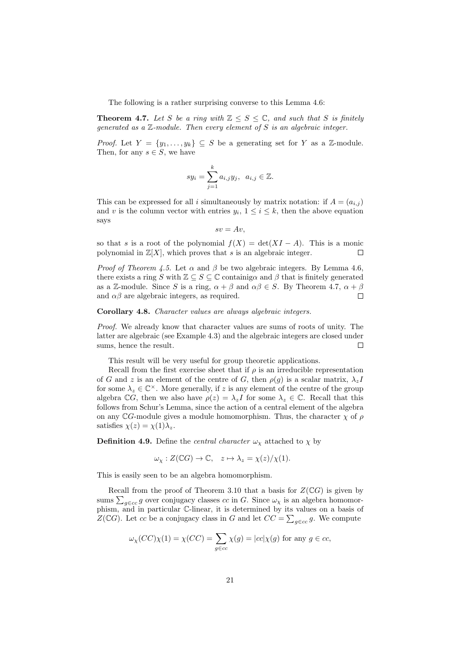The following is a rather surprising converse to this Lemma 4.6:

**Theorem 4.7.** Let S be a ring with  $\mathbb{Z} \leq S \leq \mathbb{C}$ , and such that S is finitely generated as a  $\mathbb{Z}$ -module. Then every element of  $S$  is an algebraic integer.

*Proof.* Let  $Y = \{y_1, \ldots, y_k\} \subseteq S$  be a generating set for Y as a Z-module. Then, for any  $s \in S$ , we have

$$
sy_i = \sum_{j=1}^k a_{i,j}y_j, \ \ a_{i,j} \in \mathbb{Z}.
$$

This can be expressed for all i simultaneously by matrix notation: if  $A = (a_{i,j})$ and v is the column vector with entries  $y_i$ ,  $1 \leq i \leq k$ , then the above equation says

$$
sv = Av,
$$

so that s is a root of the polynomial  $f(X) = det(XI - A)$ . This is a monic polynomial in  $\mathbb{Z}[X]$ , which proves that s is an algebraic integer.  $\Box$ 

*Proof of Theorem 4.5.* Let  $\alpha$  and  $\beta$  be two algebraic integers. By Lemma 4.6, there exists a ring S with  $\mathbb{Z} \subseteq S \subseteq \mathbb{C}$  containiga and  $\beta$  that is finitely generated as a Z-module. Since S is a ring,  $\alpha + \beta$  and  $\alpha\beta \in S$ . By Theorem 4.7,  $\alpha + \beta$ and  $\alpha\beta$  are algebraic integers, as required.  $\Box$ 

#### Corollary 4.8. Character values are always algebraic integers.

Proof. We already know that character values are sums of roots of unity. The latter are algebraic (see Example 4.3) and the algebraic integers are closed under sums, hence the result.  $\Box$ 

This result will be very useful for group theoretic applications.

Recall from the first exercise sheet that if  $\rho$  is an irreducible representation of G and z is an element of the centre of G, then  $\rho(g)$  is a scalar matrix,  $\lambda_z I$ for some  $\lambda_z \in \mathbb{C}^{\times}$ . More generally, if z is any element of the centre of the group algebra CG, then we also have  $\rho(z) = \lambda_z I$  for some  $\lambda_z \in \mathbb{C}$ . Recall that this follows from Schur's Lemma, since the action of a central element of the algebra on any CG-module gives a module homomorphism. Thus, the character  $\chi$  of  $\rho$ satisfies  $\chi(z) = \chi(1)\lambda_z$ .

**Definition 4.9.** Define the *central character*  $\omega_{\chi}$  attached to  $\chi$  by

$$
\omega_{\chi}: Z(\mathbb{C}G) \to \mathbb{C}, \quad z \mapsto \lambda_z = \chi(z)/\chi(1).
$$

This is easily seen to be an algebra homomorphism.

Recall from the proof of Theorem 3.10 that a basis for  $Z(\mathbb{C}G)$  is given by sums  $\sum_{g \in cc} g$  over conjugacy classes cc in G. Since  $\omega_{\chi}$  is an algebra homomorphism, and in particular C-linear, it is determined by its values on a basis of  $Z(\mathbb{C} G)$ . Let cc be a conjugacy class in G and let  $CC = \sum_{g \in cc} g$ . We compute

$$
\omega_{\chi}(CC)\chi(1) = \chi(CC) = \sum_{g \in cc} \chi(g) = |cc|\chi(g) \text{ for any } g \in cc,
$$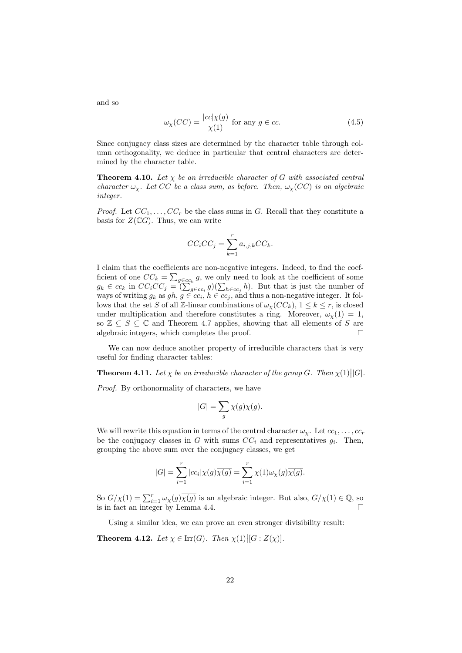and so

$$
\omega_{\chi}(CC) = \frac{|cc|\chi(g)}{\chi(1)} \text{ for any } g \in cc.
$$
\n(4.5)

Since conjugacy class sizes are determined by the character table through column orthogonality, we deduce in particular that central characters are determined by the character table.

**Theorem 4.10.** Let  $\chi$  be an irreducible character of G with associated central character  $\omega_{\chi}$ . Let CC be a class sum, as before. Then,  $\omega_{\chi}(CC)$  is an algebraic integer.

*Proof.* Let  $CC_1, \ldots, CC_r$  be the class sums in G. Recall that they constitute a basis for  $Z(\mathbb{C} G)$ . Thus, we can write

$$
CC_iCC_j = \sum_{k=1}^r a_{i,j,k}CC_k.
$$

I claim that the coefficients are non-negative integers. Indeed, to find the coefficient of one  $CC_k = \sum_{g \in cc_k} g$ , we only need to look at the coefficient of some  $g_k \in cc_k$  in  $CC_iCC_j = (\sum_{g \in cc_i} g)(\sum_{h \in cc_j} h)$ . But that is just the number of ways of writing  $g_k$  as  $gh, g \in cc_i$ ,  $h \in cc_j$ , and thus a non-negative integer. It follows that the set S of all Z-linear combinations of  $\omega_{\chi}(CC_k)$ ,  $1 \leq k \leq r$ , is closed under multiplication and therefore constitutes a ring. Moreover,  $\omega_{\chi}(1) = 1$ , so  $\mathbb{Z} \subseteq S \subseteq \mathbb{C}$  and Theorem 4.7 applies, showing that all elements of S are algebraic integers, which completes the proof.  $\Box$ 

We can now deduce another property of irreducible characters that is very useful for finding character tables:

**Theorem 4.11.** Let  $\chi$  be an irreducible character of the group G. Then  $\chi(1) ||G|$ .

Proof. By orthonormality of characters, we have

$$
|G| = \sum_{g} \chi(g) \overline{\chi(g)}.
$$

We will rewrite this equation in terms of the central character  $\omega_{\chi}$ . Let  $cc_1, \ldots, cc_r$ be the conjugacy classes in G with sums  $CC_i$  and representatives  $g_i$ . Then, grouping the above sum over the conjugacy classes, we get

$$
|G| = \sum_{i=1}^r |cc_i|\chi(g)\overline{\chi(g)} = \sum_{i=1}^r \chi(1)\omega_\chi(g)\overline{\chi(g)}.
$$

So  $G/\chi(1) = \sum_{i=1}^r \omega_{\chi}(g)\overline{\chi(g)}$  is an algebraic integer. But also,  $G/\chi(1) \in \mathbb{Q}$ , so is in fact an integer by Lemma 4.4.

Using a similar idea, we can prove an even stronger divisibility result:

**Theorem 4.12.** Let  $\chi \in \text{Irr}(G)$ . Then  $\chi(1) | [G : Z(\chi)]$ .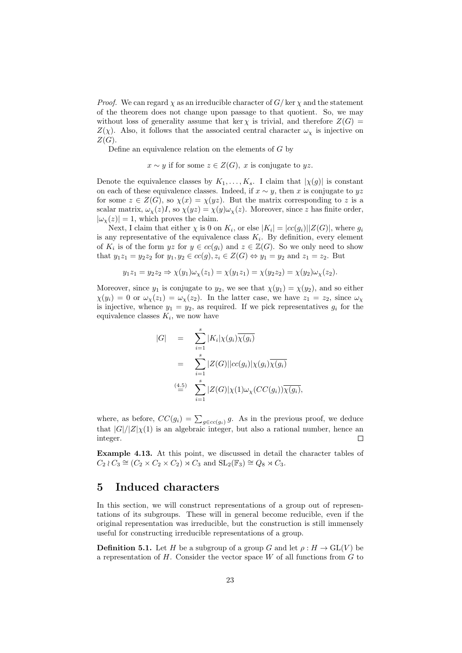*Proof.* We can regard  $\chi$  as an irreducible character of  $G/\ker \chi$  and the statement of the theorem does not change upon passage to that quotient. So, we may without loss of generality assume that ker  $\chi$  is trivial, and therefore  $Z(G)$  =  $Z(\chi)$ . Also, it follows that the associated central character  $\omega_{\chi}$  is injective on  $Z(G)$ .

Define an equivalence relation on the elements of  $G$  by

 $x \sim y$  if for some  $z \in Z(G)$ , x is conjugate to yz.

Denote the equivalence classes by  $K_1, \ldots, K_s$ . I claim that  $|\chi(g)|$  is constant on each of these equivalence classes. Indeed, if  $x \sim y$ , then x is conjugate to yz for some  $z \in Z(G)$ , so  $\chi(x) = \chi(yz)$ . But the matrix corresponding to z is a scalar matrix,  $\omega_{\chi}(z)I$ , so  $\chi(yz) = \chi(y)\omega_{\chi}(z)$ . Moreover, since z has finite order,  $|\omega_{\gamma}(z)| = 1$ , which proves the claim.

Next, I claim that either  $\chi$  is 0 on  $K_i$ , or else  $|K_i| = |cc(g_i)||Z(G)|$ , where  $g_i$ is any representative of the equivalence class  $K_i$ . By definition, every element of  $K_i$  is of the form  $yz$  for  $y \in cc(g_i)$  and  $z \in \mathbb{Z}(G)$ . So we only need to show that  $y_1z_1 = y_2z_2$  for  $y_1, y_2 \in cc(g), z_i \in Z(G) \Leftrightarrow y_1 = y_2$  and  $z_1 = z_2$ . But

$$
y_1z_1 = y_2z_2 \Rightarrow \chi(y_1)\omega_{\chi}(z_1) = \chi(y_1z_1) = \chi(y_2z_2) = \chi(y_2)\omega_{\chi}(z_2).
$$

Moreover, since  $y_1$  is conjugate to  $y_2$ , we see that  $\chi(y_1) = \chi(y_2)$ , and so either  $\chi(y_i) = 0$  or  $\omega_\chi(z_1) = \omega_\chi(z_2)$ . In the latter case, we have  $z_1 = z_2$ , since  $\omega_\chi$ is injective, whence  $y_1 = y_2$ , as required. If we pick representatives  $g_i$  for the equivalence classes  $K_i$ , we now have

$$
|G| = \sum_{i=1}^{s} |K_i| \chi(g_i) \overline{\chi(g_i)}
$$
  

$$
= \sum_{i=1}^{s} |Z(G)||cc(g_i)| \chi(g_i) \overline{\chi(g_i)}
$$
  

$$
\stackrel{(4.5)}{=} \sum_{i=1}^{s} |Z(G)| \chi(1) \omega_{\chi}(CC(g_i)) \overline{\chi(g_i)},
$$

where, as before,  $CC(g_i) = \sum_{g \in cc(g_i)} g$ . As in the previous proof, we deduce that  $|G|/|Z|\chi(1)$  is an algebraic integer, but also a rational number, hence an integer.  $\Box$ 

Example 4.13. At this point, we discussed in detail the character tables of  $C_2 \wr C_3 \cong (C_2 \times C_2 \times C_2) \rtimes C_3$  and  $\text{SL}_2(\mathbb{F}_3) \cong Q_8 \rtimes C_3$ .

## 5 Induced characters

In this section, we will construct representations of a group out of representations of its subgroups. These will in general become reducible, even if the original representation was irreducible, but the construction is still immensely useful for constructing irreducible representations of a group.

**Definition 5.1.** Let H be a subgroup of a group G and let  $\rho: H \to GL(V)$  be a representation of  $H$ . Consider the vector space W of all functions from  $G$  to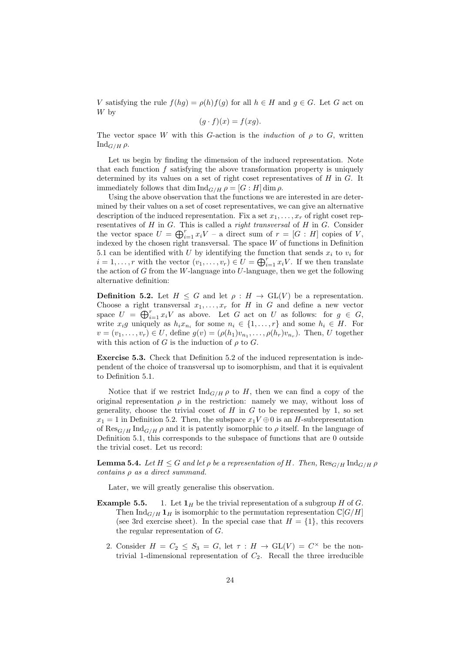V satisfying the rule  $f(hg) = \rho(h)f(g)$  for all  $h \in H$  and  $g \in G$ . Let G act on W by

$$
(g \cdot f)(x) = f(xg).
$$

The vector space W with this G-action is the *induction* of  $\rho$  to G, written  $\text{Ind}_{G/H} \rho$ .

Let us begin by finding the dimension of the induced representation. Note that each function f satisfying the above transformation property is uniquely determined by its values on a set of right coset representatives of  $H$  in  $G$ . It immediately follows that dim  $\text{Ind}_{G/H} \rho = [G:H] \dim \rho$ .

Using the above observation that the functions we are interested in are determined by their values on a set of coset representatives, we can give an alternative description of the induced representation. Fix a set  $x_1, \ldots, x_r$  of right coset representatives of  $H$  in  $G$ . This is called a *right transversal* of  $H$  in  $G$ . Consider the vector space  $U = \bigoplus_{i=1}^r x_i V$  – a direct sum of  $r = [G : H]$  copies of V, indexed by the chosen right transversal. The space  $W$  of functions in Definition 5.1 can be identified with U by identifying the function that sends  $x_i$  to  $v_i$  for  $i = 1, \ldots, r$  with the vector  $(v_1, \ldots, v_r) \in U = \bigoplus_{i=1}^r x_i V$ . If we then translate the action of  $G$  from the W-language into  $U$ -language, then we get the following alternative definition:

**Definition 5.2.** Let  $H \leq G$  and let  $\rho : H \to GL(V)$  be a representation. Choose a right transversal  $x_1, \ldots, x_r$  for H in G and define a new vector space  $U = \bigoplus_{i=1}^r x_iV$  as above. Let G act on U as follows: for  $g \in G$ , write  $x_i g$  uniquely as  $h_i x_{n_i}$  for some  $n_i \in \{1, ..., r\}$  and some  $h_i \in H$ . For  $v = (v_1, \ldots, v_r) \in U$ , define  $g(v) = (\rho(h_1)v_{n_1}, \ldots, \rho(h_r)v_{n_r})$ . Then, U together with this action of G is the induction of  $\rho$  to G.

Exercise 5.3. Check that Definition 5.2 of the induced representation is independent of the choice of transversal up to isomorphism, and that it is equivalent to Definition 5.1.

Notice that if we restrict  $\text{Ind}_{G/H} \rho$  to H, then we can find a copy of the original representation  $\rho$  in the restriction: namely we may, without loss of generality, choose the trivial coset of  $H$  in  $G$  to be represented by 1, so set  $x_1 = 1$  in Definition 5.2. Then, the subspace  $x_1V \oplus 0$  is an H-subrepresentation of  $\text{Res}_{G/H} \text{Ind}_{G/H} \rho$  and it is patently isomorphic to  $\rho$  itself. In the language of Definition 5.1, this corresponds to the subspace of functions that are 0 outside the trivial coset. Let us record:

**Lemma 5.4.** Let  $H \leq G$  and let  $\rho$  be a representation of H. Then,  $\text{Res}_{G/H} \text{Ind}_{G/H} \rho$ contains ρ as a direct summand.

Later, we will greatly generalise this observation.

- **Example 5.5.** 1. Let  $\mathbf{1}_H$  be the trivial representation of a subgroup H of G. Then Ind<sub>G/H</sub>  $\mathbf{1}_H$  is isomorphic to the permutation representation  $\mathbb{C}[G/H]$ (see 3rd exercise sheet). In the special case that  $H = \{1\}$ , this recovers the regular representation of G.
	- 2. Consider  $H = C_2 \leq S_3 = G$ , let  $\tau : H \to GL(V) = C^{\times}$  be the nontrivial 1-dimensional representation of  $C_2$ . Recall the three irreducible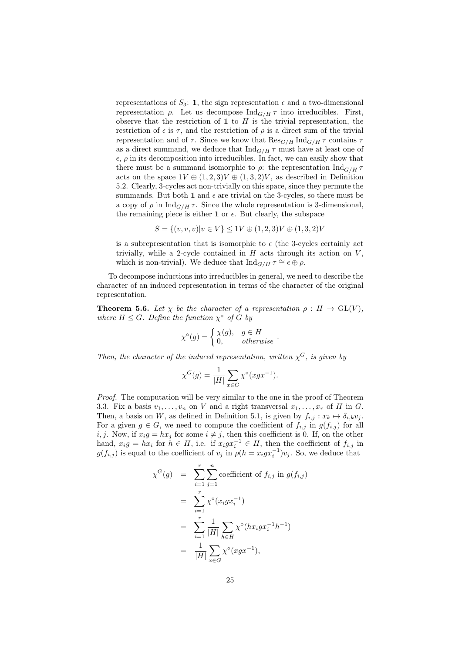representations of  $S_3$ : 1, the sign representation  $\epsilon$  and a two-dimensional representation  $ρ$ . Let us decompose Ind<sub>G/H</sub> τ into irreducibles. First, observe that the restriction of 1 to  $H$  is the trivial representation, the restriction of  $\epsilon$  is  $\tau$ , and the restriction of  $\rho$  is a direct sum of the trivial representation and of  $\tau$ . Since we know that  $\text{Res}_{G/H} \text{Ind}_{G/H} \tau$  contains  $\tau$ as a direct summand, we deduce that  $\text{Ind}_{G/H} \tau$  must have at least one of  $\epsilon$ ,  $\rho$  in its decomposition into irreducibles. In fact, we can easily show that there must be a summand isomorphic to  $\rho$ : the representation Ind<sub>G/H</sub>  $\tau$ acts on the space  $1V \oplus (1, 2, 3)V \oplus (1, 3, 2)V$ , as described in Definition 5.2. Clearly, 3-cycles act non-trivially on this space, since they permute the summands. But both 1 and  $\epsilon$  are trivial on the 3-cycles, so there must be a copy of  $\rho$  in  $\text{Ind}_{G/H} \tau$ . Since the whole representation is 3-dimensional, the remaining piece is either 1 or  $\epsilon$ . But clearly, the subspace

$$
S = \{(v, v, v)|v \in V\} \le 1V \oplus (1, 2, 3)V \oplus (1, 3, 2)V
$$

is a subrepresentation that is isomorphic to  $\epsilon$  (the 3-cycles certainly act trivially, while a 2-cycle contained in  $H$  acts through its action on  $V$ , which is non-trivial). We deduce that  $\text{Ind}_{G/H} \tau \cong \epsilon \oplus \rho$ .

To decompose inductions into irreducibles in general, we need to describe the character of an induced representation in terms of the character of the original representation.

**Theorem 5.6.** Let  $\chi$  be the character of a representation  $\rho : H \to GL(V)$ , where  $H \leq G$ . Define the function  $\chi^{\circ}$  of G by

$$
\chi^{\circ}(g) = \begin{cases} \chi(g), & g \in H \\ 0, & otherwise \end{cases}.
$$

Then, the character of the induced representation, written  $\chi^G$ , is given by

$$
\chi^G(g) = \frac{1}{|H|} \sum_{x \in G} \chi^{\circ} (xgx^{-1}).
$$

Proof. The computation will be very similar to the one in the proof of Theorem 3.3. Fix a basis  $v_1, \ldots, v_n$  on V and a right transversal  $x_1, \ldots, x_r$  of H in G. Then, a basis on W, as defined in Definition 5.1, is given by  $f_{i,j} : x_k \mapsto \delta_{i,k}v_j$ . For a given  $g \in G$ , we need to compute the coefficient of  $f_{i,j}$  in  $g(f_{i,j})$  for all *i*, *j*. Now, if  $x_i g = hx_j$  for some  $i \neq j$ , then this coefficient is 0. If, on the other hand,  $x_i g = hx_i$  for  $h \in H$ , i.e. if  $x_i gx_i^{-1} \in H$ , then the coefficient of  $f_{i,j}$  in  $g(f_{i,j})$  is equal to the coefficient of  $v_j$  in  $\rho(h = x_i g x_i^{-1}) v_j$ . So, we deduce that

$$
\chi^{G}(g) = \sum_{i=1}^{r} \sum_{j=1}^{n} \text{coefficient of } f_{i,j} \text{ in } g(f_{i,j})
$$
  
= 
$$
\sum_{i=1}^{r} \chi^{o}(x_{i}gx_{i}^{-1})
$$
  
= 
$$
\sum_{i=1}^{r} \frac{1}{|H|} \sum_{h \in H} \chi^{o}(hx_{i}gx_{i}^{-1}h^{-1})
$$
  
= 
$$
\frac{1}{|H|} \sum_{x \in G} \chi^{o}(xgx^{-1}),
$$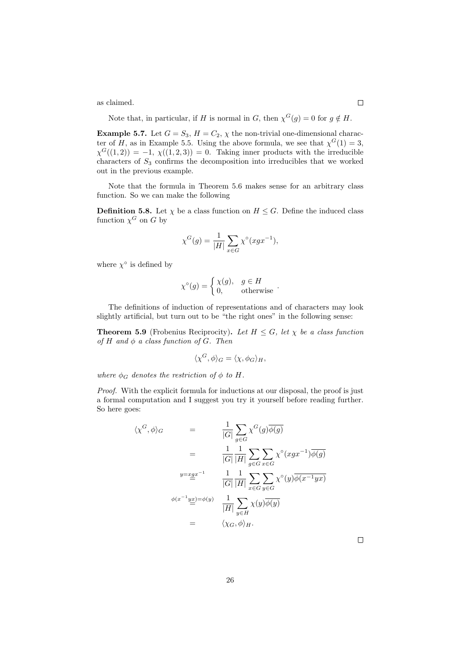as claimed.

Note that, in particular, if H is normal in G, then  $\chi^G(g) = 0$  for  $g \notin H$ .

**Example 5.7.** Let  $G = S_3$ ,  $H = C_2$ ,  $\chi$  the non-trivial one-dimensional character of H, as in Example 5.5. Using the above formula, we see that  $\chi^G(1) = 3$ ,  $\chi^G((1,2)) = -1, \chi((1,2,3)) = 0.$  Taking inner products with the irreducible characters of  $S_3$  confirms the decomposition into irreducibles that we worked out in the previous example.

Note that the formula in Theorem 5.6 makes sense for an arbitrary class function. So we can make the following

**Definition 5.8.** Let  $\chi$  be a class function on  $H \leq G$ . Define the induced class function  $\chi^G$  on G by

$$
\chi^G(g) = \frac{1}{|H|} \sum_{x \in G} \chi^{\circ} (xgx^{-1}),
$$

where  $\chi^{\circ}$  is defined by

$$
\chi^{\circ}(g) = \begin{cases} \chi(g), & g \in H \\ 0, & \text{otherwise} \end{cases}.
$$

The definitions of induction of representations and of characters may look slightly artificial, but turn out to be "the right ones" in the following sense:

**Theorem 5.9** (Frobenius Reciprocity). Let  $H \leq G$ , let  $\chi$  be a class function of H and  $\phi$  a class function of G. Then

$$
\langle \chi^G, \phi \rangle_G = \langle \chi, \phi_G \rangle_H,
$$

where  $\phi_G$  denotes the restriction of  $\phi$  to H.

Proof. With the explicit formula for inductions at our disposal, the proof is just a formal computation and I suggest you try it yourself before reading further. So here goes:

$$
\langle \chi^G, \phi \rangle_G = \frac{1}{|G|} \sum_{g \in G} \chi^G(g) \overline{\phi(g)}
$$
  

$$
= \frac{1}{|G|} \frac{1}{|H|} \sum_{g \in G} \sum_{x \in G} \chi^{\circ}(xgx^{-1}) \overline{\phi(g)}
$$
  

$$
y = xgx^{-1} \frac{1}{|G|} \frac{1}{|H|} \sum_{x \in G} \sum_{y \in G} \chi^{\circ}(y) \overline{\phi(x^{-1}yx)}
$$
  

$$
\phi(x^{-1}yx) = \phi(y) \frac{1}{|H|} \sum_{y \in H} \chi(y) \overline{\phi(y)}
$$
  

$$
= \langle \chi_G, \phi \rangle_H.
$$

 $\Box$ 

26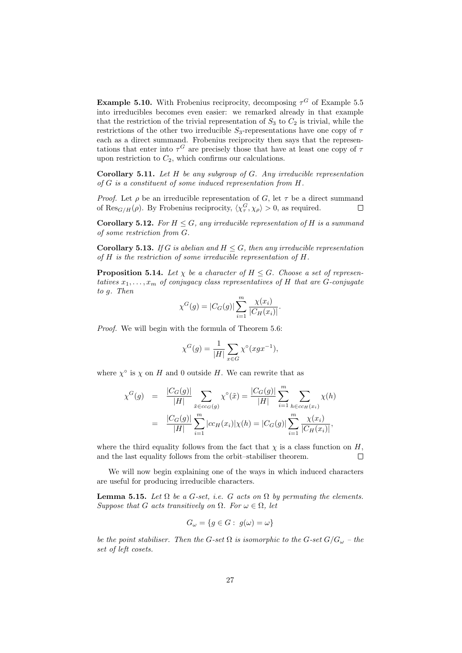**Example 5.10.** With Frobenius reciprocity, decomposing  $\tau$ <sup>G</sup> of Example 5.5 into irreducibles becomes even easier: we remarked already in that example that the restriction of the trivial representation of  $S_3$  to  $C_2$  is trivial, while the restrictions of the other two irreducible  $S_3$ -representations have one copy of  $\tau$ each as a direct summand. Frobenius reciprocity then says that the representations that enter into  $\tau^G$  are precisely those that have at least one copy of  $\tau$ upon restriction to  $C_2$ , which confirms our calculations.

**Corollary 5.11.** Let  $H$  be any subgroup of  $G$ . Any irreducible representation of G is a constituent of some induced representation from H.

*Proof.* Let  $\rho$  be an irreducible representation of G, let  $\tau$  be a direct summand of  $\text{Res}_{G/H}(\rho)$ . By Frobenius reciprocity,  $\langle \chi^G_\tau, \chi_\rho \rangle > 0$ , as required.  $\Box$ 

**Corollary 5.12.** For  $H \leq G$ , any irreducible representation of H is a summand of some restriction from G.

**Corollary 5.13.** If G is abelian and  $H \leq G$ , then any irreducible representation of  $H$  is the restriction of some irreducible representation of  $H$ .

**Proposition 5.14.** Let  $\chi$  be a character of  $H \leq G$ . Choose a set of representatives  $x_1, \ldots, x_m$  of conjugacy class representatives of H that are G-conjugate to g. Then

$$
\chi^{G}(g) = |C_{G}(g)| \sum_{i=1}^{m} \frac{\chi(x_i)}{|C_{H}(x_i)|}.
$$

Proof. We will begin with the formula of Theorem 5.6:

$$
\chi^G(g)=\frac{1}{|H|}\sum_{x\in G}\chi^{\circ}(xgx^{-1}),
$$

where  $\chi^{\circ}$  is  $\chi$  on H and 0 outside H. We can rewrite that as

$$
\chi^{G}(g) = \frac{|C_{G}(g)|}{|H|} \sum_{\tilde{x} \in cc_{G}(g)} \chi^{\circ}(\tilde{x}) = \frac{|C_{G}(g)|}{|H|} \sum_{i=1}^{m} \sum_{h \in cc_{H}(x_{i})} \chi(h)
$$

$$
= \frac{|C_{G}(g)|}{|H|} \sum_{i=1}^{m} |cc_{H}(x_{i})| \chi(h) = |C_{G}(g)| \sum_{i=1}^{m} \frac{\chi(x_{i})}{|C_{H}(x_{i})|},
$$

where the third equality follows from the fact that  $\chi$  is a class function on H, and the last equality follows from the orbit–stabiliser theorem. П

We will now begin explaining one of the ways in which induced characters are useful for producing irreducible characters.

**Lemma 5.15.** Let  $\Omega$  be a G-set, i.e. G acts on  $\Omega$  by permuting the elements. Suppose that G acts transitively on  $\Omega$ . For  $\omega \in \Omega$ , let

$$
G_{\omega} = \{ g \in G : g(\omega) = \omega \}
$$

be the point stabiliser. Then the G-set  $\Omega$  is isomorphic to the G-set  $G/G_{\omega}$  – the set of left cosets.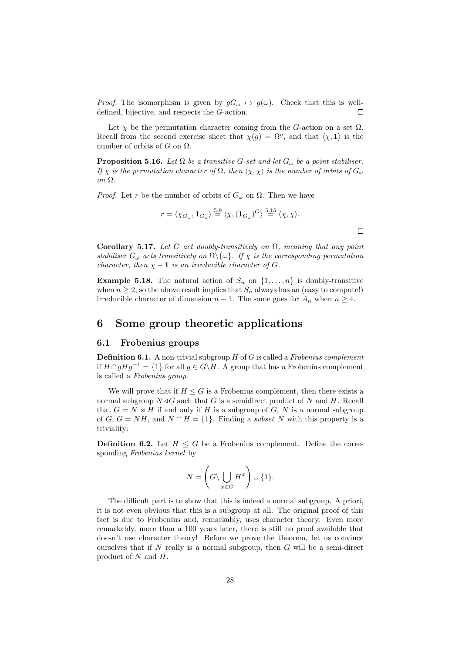*Proof.* The isomorphism is given by  $gG_\omega \mapsto g(\omega)$ . Check that this is welldefined, bijective, and respects the G-action. □

Let  $\chi$  be the permutation character coming from the G-action on a set  $\Omega$ . Recall from the second exercise sheet that  $\chi(g) = \Omega^g$ , and that  $\langle \chi, \mathbf{1} \rangle$  is the number of orbits of G on  $\Omega$ .

**Proposition 5.16.** Let  $\Omega$  be a transitive G-set and let  $G_{\omega}$  be a point stabiliser. If  $\chi$  is the permutation character of  $\Omega$ , then  $\langle \chi, \chi \rangle$  is the number of orbits of  $G_{\omega}$ on Ω.

*Proof.* Let r be the number of orbits of  $G_{\omega}$  on  $\Omega$ . Then we have

$$
r = \langle \chi_{G_{\omega}}, \mathbf{1}_{G_{\omega}} \rangle \stackrel{5.9}{=} \langle \chi, (\mathbf{1}_{G_{\omega}})^G \rangle \stackrel{5.15}{=} \langle \chi, \chi \rangle.
$$

 $\Box$ 

Corollary 5.17. Let G act doubly-transitively on  $\Omega$ , meaning that any point stabiliser  $G_{\omega}$  acts transitively on  $\Omega \setminus \{\omega\}$ . If  $\chi$  is the corresponding permutation character, then  $\chi - 1$  is an irreducible character of G.

**Example 5.18.** The natural action of  $S_n$  on  $\{1, \ldots, n\}$  is doubly-transitive when  $n \geq 2$ , so the above result implies that  $S_n$  always has an (easy to compute!) irreducible character of dimension  $n-1$ . The same goes for  $A_n$  when  $n \geq 4$ .

## 6 Some group theoretic applications

#### 6.1 Frobenius groups

**Definition 6.1.** A non-trivial subgroup  $H$  of  $G$  is called a Frobenius complement if  $H \cap gHg^{-1} = \{1\}$  for all  $g \in G\backslash H$ . A group that has a Frobenius complement is called a Frobenius group.

We will prove that if  $H \leq G$  is a Frobenius complement, then there exists a normal subgroup  $N \triangleleft G$  such that G is a semidirect product of N and H. Recall that  $G = N \rtimes H$  if and only if H is a subgroup of G, N is a normal subgroup of G,  $G = NH$ , and  $N \cap H = \{1\}$ . Finding a *subset* N with this property is a triviality:

**Definition 6.2.** Let  $H \leq G$  be a Frobenius complement. Define the corresponding Frobenius kernel by

$$
N = \left(G \setminus \bigcup_{x \in G} H^x\right) \cup \{1\}.
$$

The difficult part is to show that this is indeed a normal subgroup. A priori, it is not even obvious that this is a subgroup at all. The original proof of this fact is due to Frobenius and, remarkably, uses character theory. Even more remarkably, more than a 100 years later, there is still no proof available that doesn't use character theory! Before we prove the theorem, let us convince ourselves that if  $N$  really is a normal subgroup, then  $G$  will be a semi-direct product of  $N$  and  $H$ .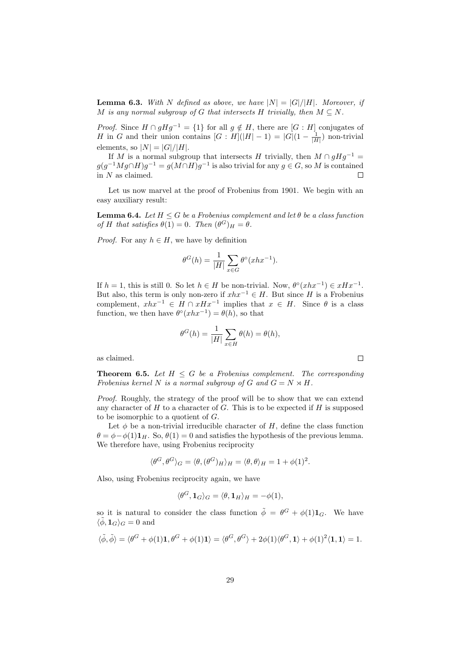**Lemma 6.3.** With N defined as above, we have  $|N| = |G|/|H|$ . Moreover, if M is any normal subgroup of G that intersects H trivially, then  $M \subseteq N$ .

*Proof.* Since  $H \cap gHg^{-1} = \{1\}$  for all  $g \notin H$ , there are  $[G : H]$  conjugates of H in G and their union contains  $[G: H] (|H| - 1) = |G| (1 - \frac{1}{|H|})$  non-trivial elements, so  $|N| = |G|/|H|$ .

If M is a normal subgroup that intersects H trivially, then  $M \cap gHg^{-1} =$  $g(g^{-1}Mg\cap H)g^{-1}=g(M\cap H)g^{-1}$  is also trivial for any  $g\in G$ , so M is contained in  $N$  as claimed.  $\Box$ 

Let us now marvel at the proof of Frobenius from 1901. We begin with an easy auxiliary result:

**Lemma 6.4.** Let  $H \leq G$  be a Frobenius complement and let  $\theta$  be a class function of H that satisfies  $\theta(1) = 0$ . Then  $(\theta^G)_H = \theta$ .

*Proof.* For any  $h \in H$ , we have by definition

$$
\theta^G(h) = \frac{1}{|H|} \sum_{x \in G} \theta^{\circ}(xhx^{-1}).
$$

If  $h = 1$ , this is still 0. So let  $h \in H$  be non-trivial. Now,  $\theta^{\circ}(xhx^{-1}) \in xHx^{-1}$ . But also, this term is only non-zero if  $xhx^{-1} \in H$ . But since H is a Frobenius complement,  $xhx^{-1} \in H \cap xHx^{-1}$  implies that  $x \in H$ . Since  $\theta$  is a class function, we then have  $\theta^{\circ}(xhx^{-1}) = \theta(h)$ , so that

$$
\theta^{G}(h) = \frac{1}{|H|} \sum_{x \in H} \theta(h) = \theta(h),
$$

as claimed.

**Theorem 6.5.** Let  $H \leq G$  be a Frobenius complement. The corresponding Frobenius kernel N is a normal subgroup of G and  $G = N \rtimes H$ .

Proof. Roughly, the strategy of the proof will be to show that we can extend any character of  $H$  to a character of  $G$ . This is to be expected if  $H$  is supposed to be isomorphic to a quotient of  $G$ .

Let  $\phi$  be a non-trivial irreducible character of H, define the class function  $\theta = \phi - \phi(1) \mathbf{1}_H$ . So,  $\theta(1) = 0$  and satisfies the hypothesis of the previous lemma. We therefore have, using Frobenius reciprocity

$$
\langle \theta^G, \theta^G \rangle_G = \langle \theta, (\theta^G)_H \rangle_H = \langle \theta, \theta \rangle_H = 1 + \phi(1)^2.
$$

Also, using Frobenius reciprocity again, we have

$$
\langle \theta^G, \mathbf{1}_G \rangle_G = \langle \theta, \mathbf{1}_H \rangle_H = -\phi(1),
$$

so it is natural to consider the class function  $\tilde{\phi} = \theta^G + \phi(1) \mathbf{1}_G$ . We have  $\langle \tilde{\phi}, \mathbf{1}_G \rangle_G = 0$  and

$$
\langle \tilde{\phi}, \tilde{\phi} \rangle = \langle \theta^G + \phi(1) \mathbf{1}, \theta^G + \phi(1) \mathbf{1} \rangle = \langle \theta^G, \theta^G \rangle + 2\phi(1) \langle \theta^G, \mathbf{1} \rangle + \phi(1)^2 \langle \mathbf{1}, \mathbf{1} \rangle = 1.
$$

 $\Box$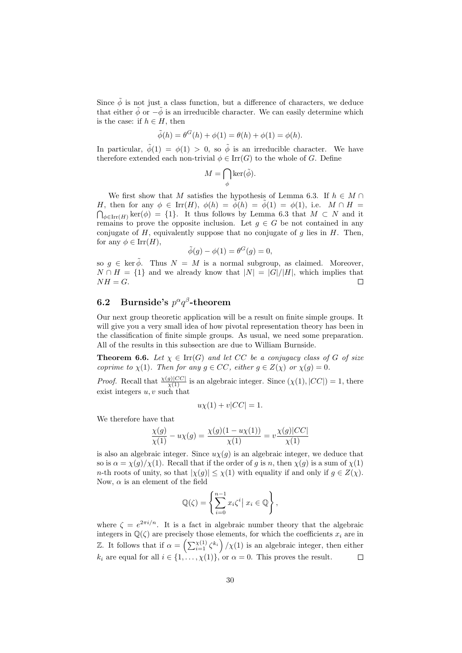Since  $\tilde{\phi}$  is not just a class function, but a difference of characters, we deduce that either  $\tilde{\phi}$  or  $-\tilde{\phi}$  is an irreducible character. We can easily determine which is the case: if  $h \in H$ , then

$$
\tilde{\phi}(h) = \theta^{G}(h) + \phi(1) = \theta(h) + \phi(1) = \phi(h).
$$

In particular,  $\tilde{\phi}(1) = \phi(1) > 0$ , so  $\tilde{\phi}$  is an irreducible character. We have therefore extended each non-trivial  $\phi \in \text{Irr}(G)$  to the whole of G. Define

$$
M=\bigcap_{\phi}\ker(\tilde{\phi}).
$$

We first show that M satisfies the hypothesis of Lemma 6.3. If  $h \in M \cap$ H, then for any  $\phi \in \text{Irr}(H)$ ,  $\phi(h) = \tilde{\phi}(h) = \tilde{\phi}(1) = \phi(1)$ , i.e.  $M \cap H =$  $\bigcap_{\phi \in \text{Irr}(H)} \text{ker}(\phi) = \{1\}.$  It thus follows by Lemma 6.3 that  $M \subset N$  and it remains to prove the opposite inclusion. Let  $g \in G$  be not contained in any conjugate of  $H$ , equivalently suppose that no conjugate of  $q$  lies in  $H$ . Then, for any  $\phi \in \text{Irr}(H)$ ,

$$
\tilde{\phi}(g) - \phi(1) = \theta^G(g) = 0,
$$

so  $q \in \text{ker } \tilde{\phi}$ . Thus  $N = M$  is a normal subgroup, as claimed. Moreover,  $N \cap H = \{1\}$  and we already know that  $|N| = |G|/|H|$ , which implies that  $NH = G.$ П

## 6.2 Burnside's  $p^{\alpha}q^{\beta}$ -theorem

Our next group theoretic application will be a result on finite simple groups. It will give you a very small idea of how pivotal representation theory has been in the classification of finite simple groups. As usual, we need some preparation. All of the results in this subsection are due to William Burnside.

**Theorem 6.6.** Let  $\chi \in \text{Irr}(G)$  and let CC be a conjugacy class of G of size coprime to  $\chi(1)$ . Then for any  $g \in CC$ , either  $g \in Z(\chi)$  or  $\chi(q) = 0$ .

*Proof.* Recall that  $\frac{\chi(g)|CC|}{\chi(1)}$  is an algebraic integer. Since  $(\chi(1), |CC|) = 1$ , there exist integers  $u, v$  such that

$$
u\chi(1) + v|CC| = 1.
$$

We therefore have that

$$
\frac{\chi(g)}{\chi(1)} - u\chi(g) = \frac{\chi(g)(1 - u\chi(1))}{\chi(1)} = v\frac{\chi(g)|CC|}{\chi(1)}
$$

is also an algebraic integer. Since  $u\chi(g)$  is an algebraic integer, we deduce that so is  $\alpha = \chi(q)/\chi(1)$ . Recall that if the order of q is n, then  $\chi(q)$  is a sum of  $\chi(1)$ n-th roots of unity, so that  $|\chi(g)| \leq \chi(1)$  with equality if and only if  $g \in Z(\chi)$ . Now,  $\alpha$  is an element of the field

$$
\mathbb{Q}(\zeta) = \left\{ \sum_{i=0}^{n-1} x_i \zeta^i \middle| \ x_i \in \mathbb{Q} \right\},\
$$

where  $\zeta = e^{2\pi i/n}$ . It is a fact in algebraic number theory that the algebraic integers in  $\mathbb{Q}(\zeta)$  are precisely those elements, for which the coefficients  $x_i$  are in Z. It follows that if  $\alpha = \left(\sum_{i=1}^{\chi(1)} \zeta^{k_i}\right) / \chi(1)$  is an algebraic integer, then either  $k_i$  are equal for all  $i \in \{1, \ldots, \chi(1)\}\)$ , or  $\alpha = 0$ . This proves the result.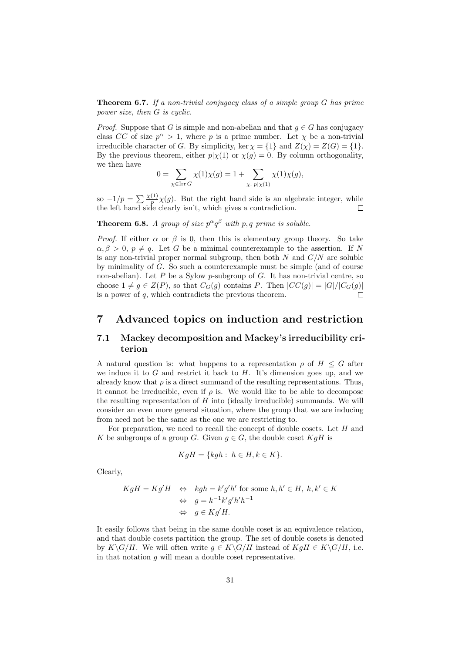**Theorem 6.7.** If a non-trivial conjugacy class of a simple group  $G$  has prime power size, then G is cyclic.

*Proof.* Suppose that G is simple and non-abelian and that  $g \in G$  has conjugacy class CC of size  $p^{\alpha} > 1$ , where p is a prime number. Let  $\chi$  be a non-trivial irreducible character of G. By simplicity, ker  $\chi = \{1\}$  and  $Z(\chi) = Z(G) = \{1\}$ . By the previous theorem, either  $p|\chi(1)$  or  $\chi(g) = 0$ . By column orthogonality, we then have

$$
0 = \sum_{\chi \in \text{Irr } G} \chi(1)\chi(g) = 1 + \sum_{\chi: \ p|\chi(1)} \chi(1)\chi(g),
$$

so  $-1/p = \sum_{p} \frac{\chi(1)}{p} \chi(p)$ . But the right hand side is an algebraic integer, while the left hand side clearly isn't, which gives a contradiction.

**Theorem 6.8.** A group of size  $p^{\alpha}q^{\beta}$  with p, q prime is soluble.

*Proof.* If either  $\alpha$  or  $\beta$  is 0, then this is elementary group theory. So take  $\alpha, \beta > 0$ ,  $p \neq q$ . Let G be a minimal counterexample to the assertion. If N is any non-trivial proper normal subgroup, then both  $N$  and  $G/N$  are soluble by minimality of G. So such a counterexample must be simple (and of course non-abelian). Let  $P$  be a Sylow p-subgroup of  $G$ . It has non-trivial centre, so choose  $1 \neq g \in Z(P)$ , so that  $C_G(g)$  contains P. Then  $|CC(g)| = |G|/|C_G(g)|$ is a power of  $q$ , which contradicts the previous theorem.  $\Box$ 

## 7 Advanced topics on induction and restriction

## 7.1 Mackey decomposition and Mackey's irreducibility criterion

A natural question is: what happens to a representation  $\rho$  of  $H \leq G$  after we induce it to  $G$  and restrict it back to  $H$ . It's dimension goes up, and we already know that  $\rho$  is a direct summand of the resulting representations. Thus, it cannot be irreducible, even if  $\rho$  is. We would like to be able to decompose the resulting representation of  $H$  into (ideally irreducible) summands. We will consider an even more general situation, where the group that we are inducing from need not be the same as the one we are restricting to.

For preparation, we need to recall the concept of double cosets. Let  $H$  and K be subgroups of a group G. Given  $g \in G$ , the double coset  $KgH$  is

$$
KgH = \{kgh : h \in H, k \in K\}.
$$

Clearly,

$$
KgH = Kg'H \Leftrightarrow kgh = k'g'h' \text{ for some } h, h' \in H, k, k' \in K
$$
  

$$
\Leftrightarrow g = k^{-1}k'g'h'h^{-1}
$$
  

$$
\Leftrightarrow g \in Kg'H.
$$

It easily follows that being in the same double coset is an equivalence relation, and that double cosets partition the group. The set of double cosets is denoted by  $K\backslash G/H$ . We will often write  $q \in K\backslash G/H$  instead of  $KqH \in K\backslash G/H$ , i.e. in that notation  $q$  will mean a double coset representative.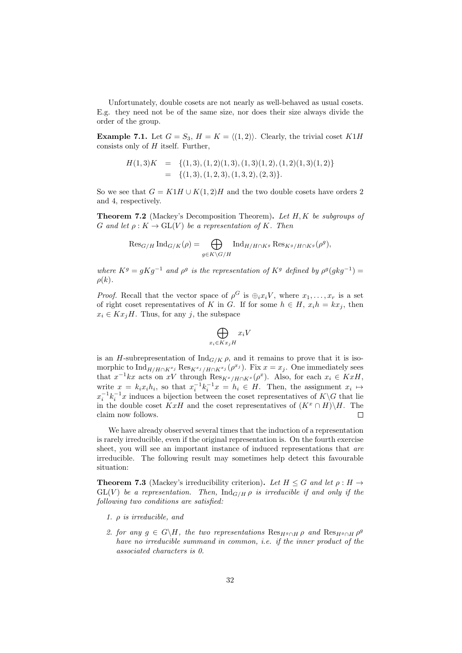Unfortunately, double cosets are not nearly as well-behaved as usual cosets. E.g. they need not be of the same size, nor does their size always divide the order of the group.

**Example 7.1.** Let  $G = S_3$ ,  $H = K = \langle (1, 2) \rangle$ . Clearly, the trivial coset K1H consists only of  $H$  itself. Further,

$$
H(1,3)K = \{(1,3), (1,2)(1,3), (1,3)(1,2), (1,2)(1,3)(1,2)\}
$$
  
= \{(1,3), (1,2,3), (1,3,2), (2,3)\}.

So we see that  $G = K1H \cup K(1,2)H$  and the two double cosets have orders 2 and 4, respectively.

**Theorem 7.2** (Mackey's Decomposition Theorem). Let  $H, K$  be subgroups of G and let  $\rho: K \to GL(V)$  be a representation of K. Then

$$
\operatorname{Res}_{G/H} \operatorname{Ind}_{G/K}(\rho) = \bigoplus_{g \in K \backslash G/H} \operatorname{Ind}_{H/H \cap K^g} \operatorname{Res}_{K^g/H \cap K^g}(\rho^g),
$$

where  $K^g = gKg^{-1}$  and  $\rho^g$  is the representation of  $K^g$  defined by  $\rho^g(gkg^{-1}) =$  $\rho(k)$ .

*Proof.* Recall that the vector space of  $\rho^G$  is  $\bigoplus_i x_i V$ , where  $x_1, \ldots, x_r$  is a set of right coset representatives of K in G. If for some  $h \in H$ ,  $x_i h = kx_j$ , then  $x_i \in Kx_jH$ . Thus, for any j, the subspace

$$
\bigoplus_{x_i \in Kx_jH} x_i V
$$

is an H-subrepresentation of  $\text{Ind}_{G/K} \rho$ , and it remains to prove that it is isomorphic to  $\text{Ind}_{H/H \cap K^{x_j}} \text{Res}_{K^{x_j}/H \cap K^{x_j}}(\rho^{x_j})$ . Fix  $x = x_j$ . One immediately sees that  $x^{-1}kx$  acts on  $xV$  through  $\text{Res}_{K^x/H \cap K^x}(\rho^x)$ . Also, for each  $x_i \in KxH$ , write  $x = k_i x_i h_i$ , so that  $x_i^{-1} k_i^{-1} x = h_i \in H$ . Then, the assignment  $x_i \mapsto$  $x_i^{-1}k_i^{-1}x$  induces a bijection between the coset representatives of  $K\backslash G$  that lie in the double coset KxH and the coset representatives of  $(K^x \cap H) \backslash H$ . The claim now follows.  $\Box$ 

We have already observed several times that the induction of a representation is rarely irreducible, even if the original representation is. On the fourth exercise sheet, you will see an important instance of induced representations that *are* irreducible. The following result may sometimes help detect this favourable situation:

**Theorem 7.3** (Mackey's irreducibility criterion). Let  $H \leq G$  and let  $\rho: H \to$  $GL(V)$  be a representation. Then,  $Ind_{G/H} \rho$  is irreducible if and only if the following two conditions are satisfied:

- 1.  $\rho$  is irreducible, and
- 2. for any  $g \in G\backslash H$ , the two representations  $\text{Res}_{H^g \cap H} \rho$  and  $\text{Res}_{H^g \cap H} \rho^g$ have no irreducible summand in common, i.e. if the inner product of the associated characters is 0.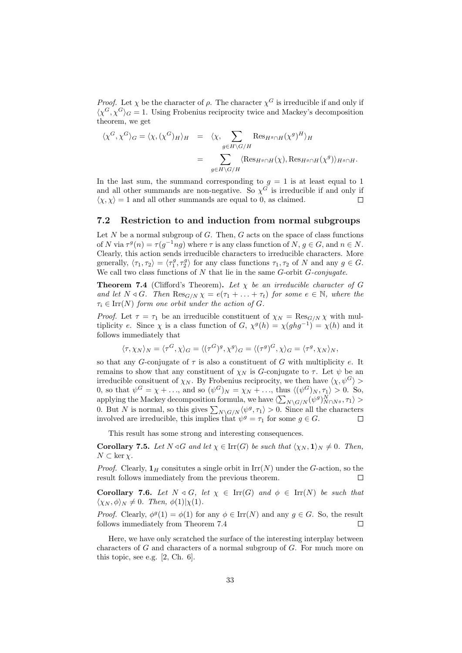*Proof.* Let  $\chi$  be the character of  $\rho$ . The character  $\chi^G$  is irreducible if and only if  $\langle \chi^G, \chi^G \rangle_G = 1$ . Using Frobenius reciprocity twice and Mackey's decomposition theorem, we get

$$
\langle \chi^G, \chi^G \rangle_G = \langle \chi, (\chi^G)_H \rangle_H = \langle \chi, \sum_{g \in H \backslash G/H} \text{Res}_{H^g \cap H} (\chi^g)^H \rangle_H
$$
  
= 
$$
\sum_{g \in H \backslash G/H} \langle \text{Res}_{H^g \cap H} (\chi), \text{Res}_{H^g \cap H} (\chi^g) \rangle_{H^g \cap H}.
$$

In the last sum, the summand corresponding to  $g = 1$  is at least equal to 1 and all other summands are non-negative. So  $\chi^G$  is irreducible if and only if  $\langle \chi, \chi \rangle = 1$  and all other summands are equal to 0, as claimed.

## 7.2 Restriction to and induction from normal subgroups

Let  $N$  be a normal subgroup of  $G$ . Then,  $G$  acts on the space of class functions of N via  $\tau^g(n) = \tau(g^{-1}ng)$  where  $\tau$  is any class function of N,  $g \in G$ , and  $n \in N$ . Clearly, this action sends irreducible characters to irreducible characters. More generally,  $\langle \tau_1, \tau_2 \rangle = \langle \tau_1^g, \tau_2^g \rangle$  for any class functions  $\tau_1, \tau_2$  of N and any  $g \in G$ . We call two class functions of  $N$  that lie in the same  $G$ -orbit  $G$ -conjugate.

**Theorem 7.4** (Clifford's Theorem). Let  $\chi$  be an irreducible character of G and let  $N \triangleleft G$ . Then  $\text{Res}_{G/N} \chi = e(\tau_1 + \ldots + \tau_t)$  for some  $e \in \mathbb{N}$ , where the  $\tau_i \in \text{Irr}(N)$  form one orbit under the action of G.

*Proof.* Let  $\tau = \tau_1$  be an irreducible constituent of  $\chi_N = \text{Res}_{G/N} \chi$  with multiplicity e. Since  $\chi$  is a class function of G,  $\chi^g(h) = \chi(ghg^{-1}) = \chi(h)$  and it follows immediately that

$$
\langle \tau, \chi_N \rangle_N = \langle \tau^G, \chi \rangle_G = \langle (\tau^G)^g, \chi^g \rangle_G = \langle (\tau^g)^G, \chi \rangle_G = \langle \tau^g, \chi_N \rangle_N,
$$

so that any G-conjugate of  $\tau$  is also a constituent of G with multiplicity e. It remains to show that any constituent of  $\chi_N$  is G-conjugate to  $\tau$ . Let  $\psi$  be an irreducible consituent of  $\chi_N$ . By Frobenius reciprocity, we then have  $\langle \chi, \psi^G \rangle$  > 0, so that  $\psi^G = \chi + \dots$ , and so  $(\psi^G)_N = \chi_N + \dots$ , thus  $\langle (\psi^G)_N, \tau_1 \rangle > 0$ . So, applying the Mackey decomposition formula, we have  $\langle \sum_{N\setminus G/N} (\psi^g)_{N\cap N^g}^N, \tau_1 \rangle >$ 0. But N is normal, so this gives  $\sum_{N\setminus G/N} \langle \psi^g, \tau_1 \rangle > 0$ . Since all the characters involved are irreducible, this implies that  $\psi^g = \tau_1$  for some  $g \in G$ .  $\Box$ 

This result has some strong and interesting consequences.

**Corollary 7.5.** Let  $N \triangleleft G$  and let  $\chi \in \text{Irr}(G)$  be such that  $\langle \chi_N, 1 \rangle_N \neq 0$ . Then,  $N \subset \ker \chi$ .

*Proof.* Clearly,  $\mathbf{1}_H$  consitutes a single orbit in  $\text{Irr}(N)$  under the G-action, so the result follows immediately from the previous theorem.  $\Box$ 

Corollary 7.6. Let  $N \triangleleft G$ , let  $\chi \in \text{Irr}(G)$  and  $\phi \in \text{Irr}(N)$  be such that  $\langle \chi_N, \phi \rangle_N \neq 0$ . Then,  $\phi(1)|\chi(1)$ .

*Proof.* Clearly,  $\phi^g(1) = \phi(1)$  for any  $\phi \in \text{Irr}(N)$  and any  $g \in G$ . So, the result follows immediately from Theorem 7.4  $\Box$ 

Here, we have only scratched the surface of the interesting interplay between characters of  $G$  and characters of a normal subgroup of  $G$ . For much more on this topic, see e.g. [2, Ch. 6].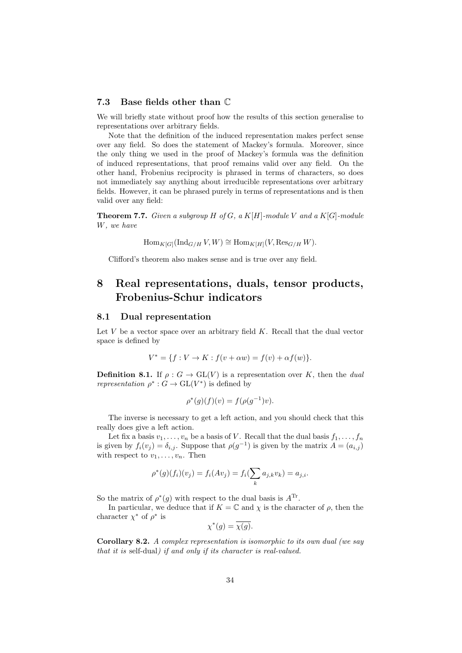#### 7.3 Base fields other than C

We will briefly state without proof how the results of this section generalise to representations over arbitrary fields.

Note that the definition of the induced representation makes perfect sense over any field. So does the statement of Mackey's formula. Moreover, since the only thing we used in the proof of Mackey's formula was the definition of induced representations, that proof remains valid over any field. On the other hand, Frobenius reciprocity is phrased in terms of characters, so does not immediately say anything about irreducible representations over arbitrary fields. However, it can be phrased purely in terms of representations and is then valid over any field:

**Theorem 7.7.** Given a subgroup H of G, a  $K[H]$ -module V and a  $K[G]$ -module W, we have

$$
\operatorname{Hom}_{K[G]}(\operatorname{Ind}_{G/H} V, W) \cong \operatorname{Hom}_{K[H]}(V, \operatorname{Res}_{G/H} W).
$$

Clifford's theorem also makes sense and is true over any field.

## 8 Real representations, duals, tensor products, Frobenius-Schur indicators

#### 8.1 Dual representation

Let  $V$  be a vector space over an arbitrary field  $K$ . Recall that the dual vector space is defined by

$$
V^* = \{ f : V \to K : f(v + \alpha w) = f(v) + \alpha f(w) \}.
$$

**Definition 8.1.** If  $\rho: G \to GL(V)$  is a representation over K, then the dual *representation*  $\rho^* : G \to \mathrm{GL}(V^*)$  is defined by

$$
\rho^*(g)(f)(v) = f(\rho(g^{-1})v).
$$

The inverse is necessary to get a left action, and you should check that this really does give a left action.

Let fix a basis  $v_1, \ldots, v_n$  be a basis of V. Recall that the dual basis  $f_1, \ldots, f_n$ is given by  $f_i(v_j) = \delta_{i,j}$ . Suppose that  $\rho(g^{-1})$  is given by the matrix  $A = (a_{i,j})$ with respect to  $v_1, \ldots, v_n$ . Then

$$
\rho^*(g)(f_i)(v_j) = f_i(Av_j) = f_i(\sum_k a_{j,k}v_k) = a_{j,i}.
$$

So the matrix of  $\rho^*(g)$  with respect to the dual basis is  $A<sup>Tr</sup>$ .

In particular, we deduce that if  $K = \mathbb{C}$  and  $\chi$  is the character of  $\rho$ , then the character  $\chi^*$  of  $\rho^*$  is

$$
\chi^*(g) = \overline{\chi(g)}.
$$

Corollary 8.2. A complex representation is isomorphic to its own dual (we say that it is self-dual) if and only if its character is real-valued.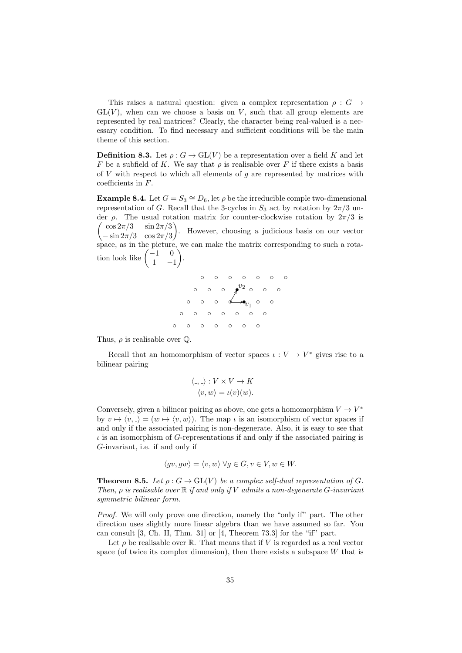This raises a natural question: given a complex representation  $\rho : G \rightarrow$  $GL(V)$ , when can we choose a basis on V, such that all group elements are represented by real matrices? Clearly, the character being real-valued is a necessary condition. To find necessary and sufficient conditions will be the main theme of this section.

**Definition 8.3.** Let  $\rho: G \to GL(V)$  be a representation over a field K and let F be a subfield of K. We say that  $\rho$  is realisable over F if there exists a basis of  $V$  with respect to which all elements of  $q$  are represented by matrices with coefficients in F.

**Example 8.4.** Let  $G = S_3 \cong D_6$ , let  $\rho$  be the irreducible comple two-dimensional representation of G. Recall that the 3-cycles in  $S_3$  act by rotation by  $2\pi/3$  under  $\rho$ . The usual rotation matrix for counter-clockwise rotation by  $2\pi/3$  is  $\int \cos 2\pi/3 \quad \sin 2\pi/3$  $-\sin 2\pi/3$  cos  $2\pi/3$  . However, choosing a judicious basis on our vector space, as in the picture, we can make the matrix corresponding to such a rotation look like  $\begin{pmatrix} -1 & 0 \\ 1 & 0 \end{pmatrix}$ 1 −1 .



Thus,  $\rho$  is realisable over  $\mathbb{O}$ .

Recall that an homomorphism of vector spaces  $\iota: V \to V^*$  gives rise to a bilinear pairing

$$
\langle \_, \_\rangle : V \times V \to K
$$

$$
\langle v, w \rangle = \iota(v)(w).
$$

Conversely, given a bilinear pairing as above, one gets a homomorphism  $V \to V^*$ by  $v \mapsto \langle v, z \rangle = (w \mapsto \langle v, w \rangle)$ . The map  $\iota$  is an isomorphism of vector spaces if and only if the associated pairing is non-degenerate. Also, it is easy to see that  $\iota$  is an isomorphism of G-representations if and only if the associated pairing is G-invariant, i.e. if and only if

$$
\langle gv, gw \rangle = \langle v, w \rangle \,\forall g \in G, v \in V, w \in W.
$$

**Theorem 8.5.** Let  $\rho: G \to GL(V)$  be a complex self-dual representation of G. Then,  $\rho$  is realisable over  $\mathbb R$  if and only if V admits a non-degenerate G-invariant symmetric bilinear form.

Proof. We will only prove one direction, namely the "only if" part. The other direction uses slightly more linear algebra than we have assumed so far. You can consult [3, Ch. II, Thm. 31] or [4, Theorem 73.3] for the "if" part.

Let  $\rho$  be realisable over R. That means that if V is regarded as a real vector space (of twice its complex dimension), then there exists a subspace W that is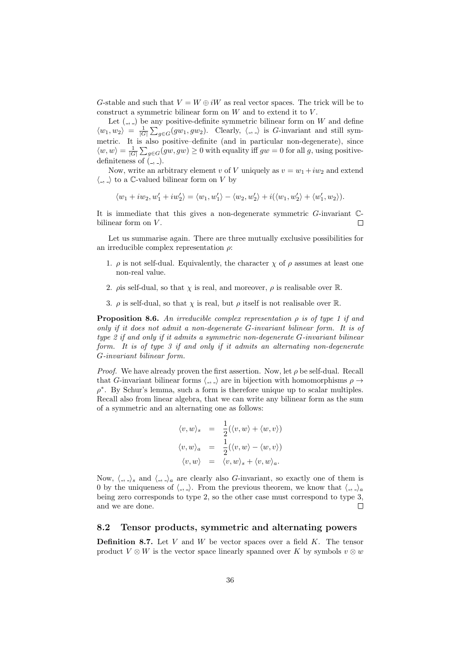G-stable and such that  $V = W \oplus iW$  as real vector spaces. The trick will be to construct a symmetric bilinear form on  $W$  and to extend it to  $V$ .

Let  $($ ,  $)$  be any positive-definite symmetric bilinear form on W and define  $\langle w_1, w_2 \rangle = \frac{1}{|G|} \sum_{g \in G} (gw_1, gw_2).$  Clearly,  $\langle \cdot, \cdot \rangle$  is G-invariant and still symmetric. It is also positive–definite (and in particular non-degenerate), since  $\langle w, w \rangle = \frac{1}{|G|} \sum_{g \in G} (gw, gw) \geq 0$  with equality iff  $gw = 0$  for all g, using positivedefiniteness of  $($ -,  $-$ ).

Now, write an arbitrary element v of V uniquely as  $v = w_1 + iw_2$  and extend  $\langle \_, \_ \rangle$  to a C-valued bilinear form on V by

$$
\langle w_1 + iw_2, w_1' + iw_2' \rangle = \langle w_1, w_1' \rangle - \langle w_2, w_2' \rangle + i(\langle w_1, w_2' \rangle + \langle w_1', w_2 \rangle).
$$

It is immediate that this gives a non-degenerate symmetric G-invariant Cbilinear form on  $V$ . П

Let us summarise again. There are three mutually exclusive possibilities for an irreducible complex representation  $\rho$ :

- 1.  $\rho$  is not self-dual. Equivalently, the character  $\chi$  of  $\rho$  assumes at least one non-real value.
- 2. *ρ* is self-dual, so that  $\chi$  is real, and moreover,  $\rho$  is realisable over R.
- 3.  $\rho$  is self-dual, so that  $\chi$  is real, but  $\rho$  itself is not realisable over R.

**Proposition 8.6.** An irreducible complex representation  $\rho$  is of type 1 if and only if it does not admit a non-degenerate G-invariant bilinear form. It is of type 2 if and only if it admits a symmetric non-degenerate G-invariant bilinear form. It is of type 3 if and only if it admits an alternating non-degenerate G-invariant bilinear form.

*Proof.* We have already proven the first assertion. Now, let  $\rho$  be self-dual. Recall that G-invariant bilinear forms  $\langle , \rangle$  are in bijection with homomorphisms  $\rho \rightarrow$  $\rho^*$ . By Schur's lemma, such a form is therefore unique up to scalar multiples. Recall also from linear algebra, that we can write any bilinear form as the sum of a symmetric and an alternating one as follows:

$$
\langle v, w \rangle_s = \frac{1}{2} (\langle v, w \rangle + \langle w, v \rangle)
$$
  

$$
\langle v, w \rangle_a = \frac{1}{2} (\langle v, w \rangle - \langle w, v \rangle)
$$
  

$$
\langle v, w \rangle = \langle v, w \rangle_s + \langle v, w \rangle_a.
$$

Now,  $\langle \cdot, \cdot \rangle_s$  and  $\langle \cdot, \cdot \rangle_a$  are clearly also G-invariant, so exactly one of them is 0 by the uniqueness of  $\langle , \rangle$ . From the previous theorem, we know that  $\langle , \rangle_a$ being zero corresponds to type 2, so the other case must correspond to type 3, and we are done.  $\Box$ 

#### 8.2 Tensor products, symmetric and alternating powers

**Definition 8.7.** Let V and W be vector spaces over a field  $K$ . The tensor product V ⊗ W is the vector space linearly spanned over K by symbols  $v \otimes w$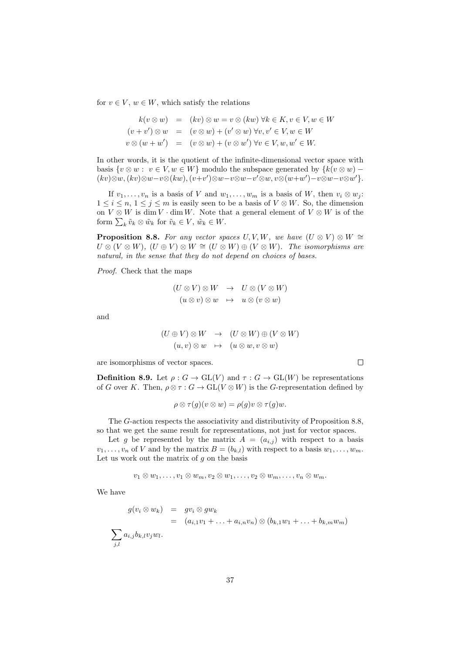for  $v \in V$ ,  $w \in W$ , which satisfy the relations

$$
k(v \otimes w) = (kv) \otimes w = v \otimes (kw) \forall k \in K, v \in V, w \in W
$$
  

$$
(v + v') \otimes w = (v \otimes w) + (v' \otimes w) \forall v, v' \in V, w \in W
$$
  

$$
v \otimes (w + w') = (v \otimes w) + (v \otimes w') \forall v \in V, w, w' \in W.
$$

In other words, it is the quotient of the infinite-dimensional vector space with basis  $\{v \otimes w : v \in V, w \in W\}$  modulo the subspace generated by  $\{k(v \otimes w) (kv) \otimes w, (kv) \otimes w - v \otimes (kw), (v+v') \otimes w - v \otimes w - v' \otimes w, v \otimes (w+w') - v \otimes w - v \otimes w' \}$ 

If  $v_1, \ldots, v_n$  is a basis of V and  $w_1, \ldots, w_m$  is a basis of W, then  $v_i \otimes w_j$ :  $1 \leq i \leq n, 1 \leq j \leq m$  is easily seen to be a basis of  $V \otimes W$ . So, the dimension on  $V \otimes W$  is dim V  $\cdot$  dim W. Note that a general element of  $V \otimes W$  is of the form  $\sum_{k} \tilde{v}_k \otimes \tilde{w}_k$  for  $\tilde{v}_k \in V$ ,  $\tilde{w}_k \in W$ .

**Proposition 8.8.** For any vector spaces U, V, W, we have  $(U \otimes V) \otimes W \cong$  $U \otimes (V \otimes W)$ ,  $(U \oplus V) \otimes W \cong (U \otimes W) \oplus (V \otimes W)$ . The isomorphisms are natural, in the sense that they do not depend on choices of bases.

Proof. Check that the maps

$$
(U \otimes V) \otimes W \rightarrow U \otimes (V \otimes W)
$$
  

$$
(u \otimes v) \otimes w \rightarrow u \otimes (v \otimes w)
$$

and

$$
(U \oplus V) \otimes W \rightarrow (U \otimes W) \oplus (V \otimes W)
$$
  

$$
(u, v) \otimes w \rightarrow (u \otimes w, v \otimes w)
$$

are isomorphisms of vector spaces.

**Definition 8.9.** Let  $\rho: G \to GL(V)$  and  $\tau: G \to GL(W)$  be representations of G over K. Then,  $\rho \otimes \tau : G \to GL(V \otimes W)$  is the G-representation defined by

$$
\rho \otimes \tau(g)(v \otimes w) = \rho(g)v \otimes \tau(g)w.
$$

The G-action respects the associativity and distributivity of Proposition 8.8, so that we get the same result for representations, not just for vector spaces.

Let g be represented by the matrix  $A = (a_{i,j})$  with respect to a basis  $v_1, \ldots, v_n$  of V and by the matrix  $B = (b_{k,l})$  with respect to a basis  $w_1, \ldots, w_m$ . Let us work out the matrix of  $g$  on the basis

$$
v_1 \otimes w_1, \ldots, v_1 \otimes w_m, v_2 \otimes w_1, \ldots, v_2 \otimes w_m, \ldots, v_n \otimes w_m.
$$

We have

$$
g(v_i \otimes w_k) = gv_i \otimes gw_k
$$
  
=  $(a_{i,1}v_1 + \ldots + a_{i,n}v_n) \otimes (b_{k,1}w_1 + \ldots + b_{k,m}w_m)$   

$$
\sum_{j,l} a_{i,j}b_{k,l}v_jw_l.
$$

 $\Box$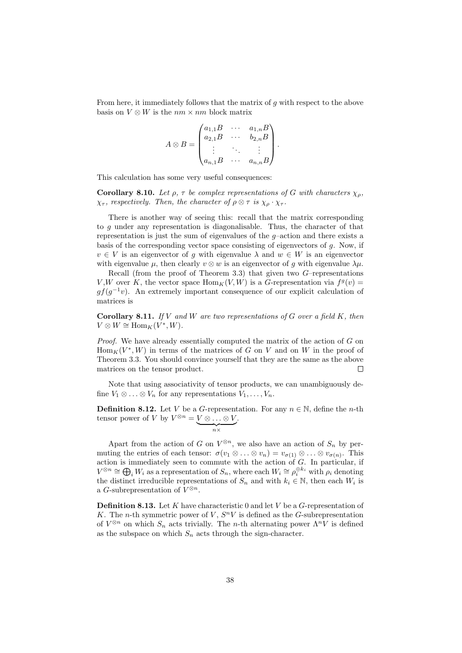From here, it immediately follows that the matrix of g with respect to the above basis on  $V \otimes W$  is the  $nm \times nm$  block matrix

$$
A \otimes B = \begin{pmatrix} a_{1,1}B & \cdots & a_{1,n}B \\ a_{2,1}B & \cdots & b_{2,n}B \\ \vdots & \ddots & \vdots \\ a_{n,1}B & \cdots & a_{n,n}B \end{pmatrix}.
$$

This calculation has some very useful consequences:

**Corollary 8.10.** Let  $\rho$ ,  $\tau$  be complex representations of G with characters  $\chi_{\rho}$ ,  $\chi_{\tau}$ , respectively. Then, the character of  $\rho \otimes \tau$  is  $\chi_{\rho} \cdot \chi_{\tau}$ .

There is another way of seeing this: recall that the matrix corresponding to  $q$  under any representation is diagonalisable. Thus, the character of that representation is just the sum of eigenvalues of the  $g$ -action and there exists a basis of the corresponding vector space consisting of eigenvectors of  $q$ . Now, if  $v \in V$  is an eigenvector of q with eigenvalue  $\lambda$  and  $w \in W$  is an eigenvector with eigenvalue  $\mu$ , then clearly  $v \otimes w$  is an eigenvector of g with eigenvalue  $\lambda \mu$ .

Recall (from the proof of Theorem 3.3) that given two  $G$ –representations V, W over K, the vector space  $\text{Hom}_K(V, W)$  is a G-representation via  $f^g(v)$  =  $gf(g^{-1}v)$ . An extremely important consequence of our explicit calculation of matrices is

**Corollary 8.11.** If V and W are two representations of G over a field K, then  $V \otimes W \cong \text{Hom}_K(V^*, W).$ 

Proof. We have already essentially computed the matrix of the action of G on  $\text{Hom}_K(V^*,W)$  in terms of the matrices of G on V and on W in the proof of Theorem 3.3. You should convince yourself that they are the same as the above matrices on the tensor product.  $\Box$ 

Note that using associativity of tensor products, we can unambiguously define  $V_1 \otimes \ldots \otimes V_n$  for any representations  $V_1, \ldots, V_n$ .

**Definition 8.12.** Let V be a G-representation. For any  $n \in \mathbb{N}$ , define the *n*-th tensor power of V by  $V^{\otimes n} = V \otimes \ldots \otimes V$  $\overbrace{n \times}$ .

Apart from the action of G on  $V^{\otimes n}$ , we also have an action of  $S_n$  by permuting the entries of each tensor:  $\sigma(v_1 \otimes \ldots \otimes v_n) = v_{\sigma(1)} \otimes \ldots \otimes v_{\sigma(n)}$ . This action is immediately seen to commute with the action of  $G$ . In particular, if  $V^{\otimes n} \cong \bigoplus_i W_i$  as a representation of  $S_n$ , where each  $W_i \cong \rho_i^{\oplus k_i}$  with  $\rho_i$  denoting the distinct irreducible representations of  $S_n$  and with  $k_i \in \mathbb{N}$ , then each  $W_i$  is a *G*-subrepresentation of  $V^{\otimes n}$ .

**Definition 8.13.** Let K have characteristic 0 and let V be a  $G$ -representation of K. The *n*-th symmetric power of V,  $S^nV$  is defined as the G-subrepresentation of  $V^{\otimes n}$  on which  $S_n$  acts trivially. The *n*-th alternating power  $\Lambda^n V$  is defined as the subspace on which  $S_n$  acts through the sign-character.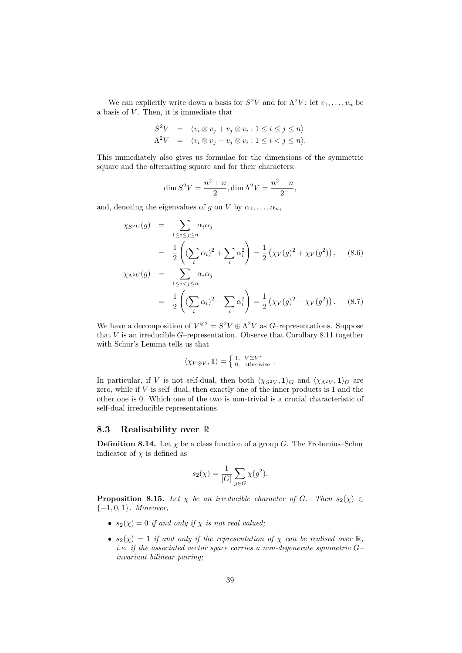We can explicitly write down a basis for  $S^2V$  and for  $\Lambda^2V$ : let  $v_1, \ldots, v_n$  be a basis of  $V$ . Then, it is immediate that

$$
S^2V = \langle v_i \otimes v_j + v_j \otimes v_i : 1 \le i \le j \le n \rangle
$$
  
\n
$$
\Lambda^2V = \langle v_i \otimes v_j - v_j \otimes v_i : 1 \le i < j \le n \rangle.
$$

This immediately also gives us formulae for the dimensions of the symmetric square and the alternating square and for their characters:

$$
\dim S^{2}V = \frac{n^{2} + n}{2}, \dim \Lambda^{2}V = \frac{n^{2} - n}{2},
$$

and, denoting the eigenvalues of g on V by  $\alpha_1, \ldots, \alpha_n$ ,

i

$$
\chi_{S^2V}(g) = \sum_{1 \le i \le j \le n} \alpha_i \alpha_j
$$
  
=  $\frac{1}{2} \left( \sum_i \alpha_i^2 + \sum_i \alpha_i^2 \right) = \frac{1}{2} \left( \chi_V(g)^2 + \chi_V(g^2) \right),$  (8.6)  

$$
\chi_{\Lambda^2V}(g) = \sum_{1 \le i < j \le n} \alpha_i \alpha_j
$$
  
=  $\frac{1}{2} \left( \sum_i \alpha_i^2 - \sum_i \alpha_i^2 \right) = \frac{1}{2} \left( \chi_V(g)^2 - \chi_V(g^2) \right).$  (8.7)

We have a decomposition of  $V^{\otimes 2} = S^2 V \oplus \Lambda^2 V$  as G-representations. Suppose that  $V$  is an irreducible  $G$ –representation. Observe that Corollary 8.11 together with Schur's Lemma tells us that

i

$$
\langle \chi_{V\otimes V},\mathbf{1}\rangle=\left\{\begin{smallmatrix} 1,&V\cong V^*\\ 0,&\text{otherwise}\end{smallmatrix}\right..
$$

In particular, if V is not self-dual, then both  $\langle \chi_{S^2V} , 1 \rangle_G$  and  $\langle \chi_{\Lambda^2V} , 1 \rangle_G$  are zero, while if  $V$  is self-dual, then exactly one of the inner products is 1 and the other one is 0. Which one of the two is non-trivial is a crucial characteristic of self-dual irreducible representations.

### 8.3 Realisability over R

**Definition 8.14.** Let  $\chi$  be a class function of a group G. The Frobenius–Schur indicator of  $\chi$  is defined as

$$
s_2(\chi) = \frac{1}{|G|} \sum_{g \in G} \chi(g^2).
$$

**Proposition 8.15.** Let  $\chi$  be an irreducible character of G. Then  $s_2(\chi) \in$ {−1, 0, 1}. Moreover,

- $s_2(\chi) = 0$  if and only if  $\chi$  is not real valued;
- $s_2(\chi) = 1$  if and only if the representation of  $\chi$  can be realised over  $\mathbb{R}$ , i.e. if the associated vector space carries a non-degenerate symmetric G– invariant bilinear pairing;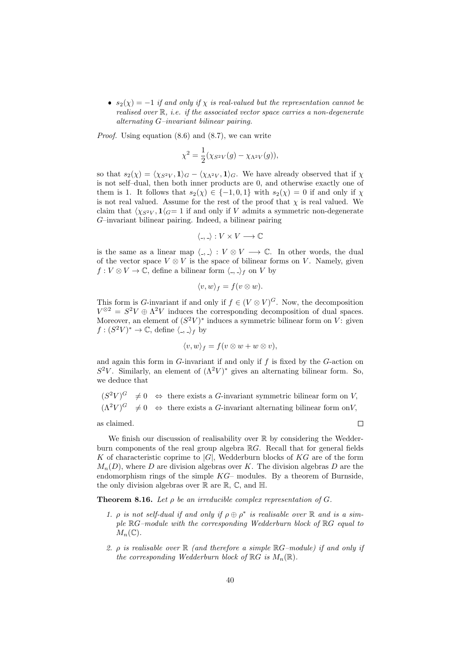•  $s_2(\chi) = -1$  if and only if  $\chi$  is real-valued but the representation cannot be realised over R, i.e. if the associated vector space carries a non-degenerate alternating G–invariant bilinear pairing.

Proof. Using equation (8.6) and (8.7), we can write

$$
\chi^{2} = \frac{1}{2}(\chi_{S^{2}V}(g) - \chi_{\Lambda^{2}V}(g)),
$$

so that  $s_2(\chi) = \langle \chi_{S^2V} , 1 \rangle_G - \langle \chi_{\Lambda^2V} , 1 \rangle_G$ . We have already observed that if  $\chi$ is not self–dual, then both inner products are 0, and otherwise exactly one of them is 1. It follows that  $s_2(\chi) \in \{-1,0,1\}$  with  $s_2(\chi) = 0$  if and only if  $\chi$ is not real valued. Assume for the rest of the proof that  $\chi$  is real valued. We claim that  $\langle \chi_{S^2V} , 1/\sigma = 1$  if and only if V admits a symmetric non-degenerate G–invariant bilinear pairing. Indeed, a bilinear pairing

$$
\langle \cdot, \cdot \rangle : V \times V \longrightarrow \mathbb{C}
$$

is the same as a linear map  $\langle , . \rangle : V \otimes V \longrightarrow \mathbb{C}$ . In other words, the dual of the vector space  $V \otimes V$  is the space of bilinear forms on V. Namely, given  $f: V \otimes V \to \mathbb{C}$ , define a bilinear form  $\langle , . \rangle_f$  on V by

$$
\langle v, w \rangle_f = f(v \otimes w).
$$

This form is G-invariant if and only if  $f \in (V \otimes V)^G$ . Now, the decomposition  $V^{\otimes 2} = S^2 V \oplus \Lambda^2 V$  induces the corresponding decomposition of dual spaces. Moreover, an element of  $(S^2V)^*$  induces a symmetric bilinear form on V: given  $f:(S^2V)^*\to\mathbb{C}$ , define  $\langle \cdot,\cdot\rangle_f$  by

$$
\langle v, w \rangle_f = f(v \otimes w + w \otimes v),
$$

and again this form in  $G$ -invariant if and only if f is fixed by the  $G$ -action on  $S^2V$ . Similarly, an element of  $(\Lambda^2V)^*$  gives an alternating bilinear form. So, we deduce that

 $(S^2V)$  $\neq 0 \Leftrightarrow$  there exists a G-invariant symmetric bilinear form on V,  $(\Lambda^2 V)^G \neq 0 \Leftrightarrow$  there exists a G-invariant alternating bilinear form on V,

as claimed.

 $\Box$ 

We finish our discussion of realisability over  $\mathbb R$  by considering the Wedderburn components of the real group algebra RG. Recall that for general fields K of characteristic coprime to  $|G|$ , Wedderburn blocks of KG are of the form  $M_n(D)$ , where D are division algebras over K. The division algebras D are the endomorphism rings of the simple  $KG-$  modules. By a theorem of Burnside, the only division algebras over  $\mathbb R$  are  $\mathbb R$ ,  $\mathbb C$ , and  $\mathbb H$ .

**Theorem 8.16.** Let  $\rho$  be an irreducible complex representation of G.

- 1.  $\rho$  is not self-dual if and only if  $\rho \oplus \rho^*$  is realisable over  $\mathbb R$  and is a simple RG–module with the corresponding Wedderburn block of RG equal to  $M_n(\mathbb{C})$ .
- 2.  $\rho$  is realisable over  $\mathbb R$  (and therefore a simple  $\mathbb R G$ -module) if and only if the corresponding Wedderburn block of  $\mathbb{R}G$  is  $M_n(\mathbb{R})$ .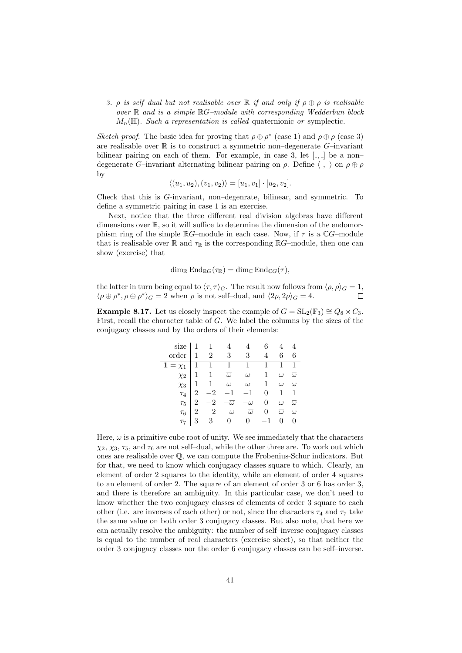3. ρ is self-dual but not realisable over  $\mathbb R$  if and only if  $\rho \oplus \rho$  is realisable over  $\mathbb R$  and is a simple  $\mathbb R G$ -module with corresponding Wedderbun block  $M_n(\mathbb{H})$ . Such a representation is called quaternionic or symplectic.

Sketch proof. The basic idea for proving that  $\rho \oplus \rho^*$  (case 1) and  $\rho \oplus \rho$  (case 3) are realisable over  $\mathbb R$  is to construct a symmetric non-degenerate  $G$ -invariant bilinear pairing on each of them. For example, in case 3, let  $\lbrack \cdot, \cdot \rbrack$  be a nondegenerate G–invariant alternating bilinear pairing on  $\rho$ . Define  $\langle , \rangle$  on  $\rho \oplus \rho$ by

$$
\langle (u_1, u_2), (v_1, v_2) \rangle = [u_1, v_1] \cdot [u_2, v_2].
$$

Check that this is G-invariant, non–degenrate, bilinear, and symmetric. To define a symmetric pairing in case 1 is an exercise.

Next, notice that the three different real division algebras have different dimensions over  $\mathbb{R}$ , so it will suffice to determine the dimension of the endomorphism ring of the simple  $\mathbb{R}G$ –module in each case. Now, if  $\tau$  is a  $\mathbb{C}G$ –module that is realisable over  $\mathbb R$  and  $\tau_{\mathbb R}$  is the corresponding  $\mathbb R G$ –module, then one can show (exercise) that

$$
\dim_{\mathbb{R}} \mathrm{End}_{\mathbb{R}G}(\tau_{\mathbb{R}}) = \dim_{\mathbb{C}} \mathrm{End}_{\mathbb{C}G}(\tau),
$$

the latter in turn being equal to  $\langle \tau, \tau \rangle_G$ . The result now follows from  $\langle \rho, \rho \rangle_G = 1$ ,  $\langle \rho \oplus \rho^*, \rho \oplus \rho^* \rangle_G = 2$  when  $\rho$  is not self-dual, and  $\langle 2\rho, 2\rho \rangle_G = 4$ .

**Example 8.17.** Let us closely inspect the example of  $G = SL_2(\mathbb{F}_3) \cong Q_8 \rtimes C_3$ . First, recall the character table of G. We label the columns by the sizes of the conjugacy classes and by the orders of their elements:

|  |  | $4\quad 4$                                                          |                                                                                                                                                                                                                                                                                                                                                                                                                                                                                                       |
|--|--|---------------------------------------------------------------------|-------------------------------------------------------------------------------------------------------------------------------------------------------------------------------------------------------------------------------------------------------------------------------------------------------------------------------------------------------------------------------------------------------------------------------------------------------------------------------------------------------|
|  |  | 6 —                                                                 | 6                                                                                                                                                                                                                                                                                                                                                                                                                                                                                                     |
|  |  |                                                                     |                                                                                                                                                                                                                                                                                                                                                                                                                                                                                                       |
|  |  |                                                                     |                                                                                                                                                                                                                                                                                                                                                                                                                                                                                                       |
|  |  |                                                                     |                                                                                                                                                                                                                                                                                                                                                                                                                                                                                                       |
|  |  |                                                                     |                                                                                                                                                                                                                                                                                                                                                                                                                                                                                                       |
|  |  |                                                                     |                                                                                                                                                                                                                                                                                                                                                                                                                                                                                                       |
|  |  |                                                                     |                                                                                                                                                                                                                                                                                                                                                                                                                                                                                                       |
|  |  |                                                                     |                                                                                                                                                                                                                                                                                                                                                                                                                                                                                                       |
|  |  | size $\begin{vmatrix} 1 & 1 & 4 & 4 \\ 1 & 2 & 3 & 3 \end{vmatrix}$ | $6\quad$<br>$4\phantom{0000}$<br>$\begin{array}{ccccccccccccc} & 1 & 1 & 1 & 1 & 1 & 1 & 1 \\ \hline x_1 & 1 & 1 & 1 & 1 & 1 & 1 & 1 \\ x_2 & 1 & 1 & \overline{\omega} & \omega & 1 & \omega & \overline{\omega} \\ x_3 & 1 & 1 & \omega & \overline{\omega} & 1 & \overline{\omega} & \omega \\ \tau_4 & 2 & -2 & -1 & -1 & 0 & 1 & 1 \\ \tau_5 & 2 & -2 & -\overline{\omega} & -\omega & 0 & \omega & \overline{\omega} \\ \tau_6 & 2 & -2 & -\omega & -\overline{\omega} & 0 & \overline{\omega}$ |

Here,  $\omega$  is a primitive cube root of unity. We see immediately that the characters  $\chi_2$ ,  $\chi_3$ ,  $\tau_5$ , and  $\tau_6$  are not self-dual, while the other three are. To work out which ones are realisable over Q, we can compute the Frobenius-Schur indicators. But for that, we need to know which conjugacy classes square to which. Clearly, an element of order 2 squares to the identity, while an element of order 4 squares to an element of order 2. The square of an element of order 3 or 6 has order 3, and there is therefore an ambiguity. In this particular case, we don't need to know whether the two conjugacy classes of elements of order 3 square to each other (i.e. are inverses of each other) or not, since the characters  $\tau_4$  and  $\tau_7$  take the same value on both order 3 conjugacy classes. But also note, that here we can actually resolve the ambiguity: the number of self–inverse conjugacy classes is equal to the number of real characters (exercise sheet), so that neither the order 3 conjugacy classes nor the order 6 conjugacy classes can be self–inverse.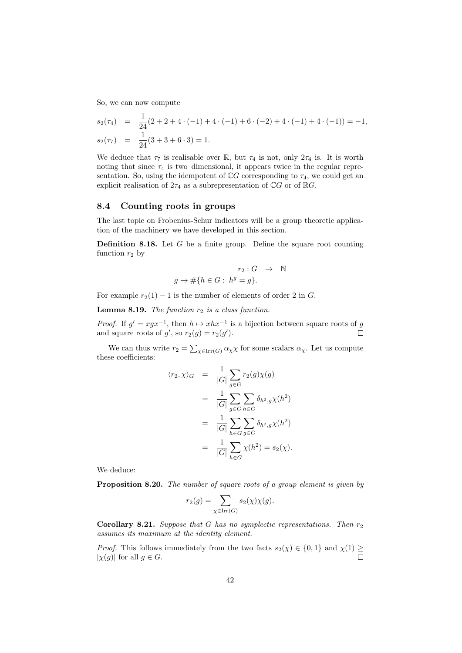So, we can now compute

$$
s_2(\tau_4) = \frac{1}{24}(2+2+4\cdot(-1)+4\cdot(-1)+6\cdot(-2)+4\cdot(-1)+4\cdot(-1)) = -1,
$$
  
\n
$$
s_2(\tau_7) = \frac{1}{24}(3+3+6\cdot3) = 1.
$$

We deduce that  $\tau_7$  is realisable over R, but  $\tau_4$  is not, only  $2\tau_4$  is. It is worth noting that since  $\tau_4$  is two–dimensional, it appears twice in the regular representation. So, using the idempotent of  $\mathbb{C}G$  corresponding to  $\tau_4$ , we could get an explicit realisation of  $2\tau_4$  as a subrepresentation of  $\mathbb{C}G$  or of  $\mathbb{R}G$ .

## 8.4 Counting roots in groups

The last topic on Frobenius-Schur indicators will be a group theoretic application of the machinery we have developed in this section.

**Definition 8.18.** Let  $G$  be a finite group. Define the square root counting function  $r_2$  by

$$
\begin{array}{rcl} r_2:G & \to & \mathbb{N} \\ g \mapsto \# \{ h \in G: \ h^g = g \}. \end{array}
$$

For example  $r_2(1) - 1$  is the number of elements of order 2 in G.

**Lemma 8.19.** The function  $r_2$  is a class function.

*Proof.* If  $g' = xgx^{-1}$ , then  $h \mapsto xhx^{-1}$  is a bijection between square roots of g and square roots of  $g'$ , so  $r_2(g) = r_2(g')$ .  $\Box$ 

We can thus write  $r_2 = \sum_{\chi \in \text{Irr}(G)} \alpha_{\chi} \chi$  for some scalars  $\alpha_{\chi}$ . Let us compute these coefficients:

$$
\langle r_2, \chi \rangle_G = \frac{1}{|G|} \sum_{g \in G} r_2(g) \chi(g)
$$
  

$$
= \frac{1}{|G|} \sum_{g \in G} \sum_{h \in G} \delta_{h^2, g} \chi(h^2)
$$
  

$$
= \frac{1}{|G|} \sum_{h \in G} \sum_{g \in G} \delta_{h^2, g} \chi(h^2)
$$
  

$$
= \frac{1}{|G|} \sum_{h \in G} \chi(h^2) = s_2(\chi).
$$

We deduce:

Proposition 8.20. The number of square roots of a group element is given by

$$
r_2(g) = \sum_{\chi \in \operatorname{Irr}(G)} s_2(\chi)\chi(g).
$$

**Corollary 8.21.** Suppose that G has no symplectic representations. Then  $r_2$ assumes its maximum at the identity element.

*Proof.* This follows immediately from the two facts  $s_2(\chi) \in \{0, 1\}$  and  $\chi(1) \geq$  $|\chi(g)|$  for all  $g \in G$ .